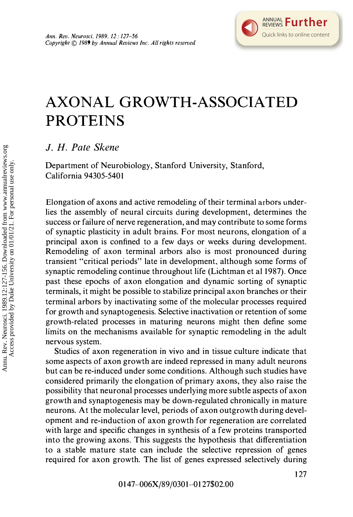

# AXONAL GROWTH-ASSOCIATED PROTEINS

J. H. Pate Skene

Department of Neurobiology, Stanford University, Stanford, California 94305-5401

Elongation of axons and active remodeling of their terminal arbors underlies the assembly of neural circuits during development, determines the success or failure of nerve regeneration, and may contribute to some forms of synaptic plasticity in adult brains. For most neurons, elongation of a principal axon is confined to a few days or weeks during development. Remodeling of axon terminal arbors also is most pronounced during transient "critical periods" late in development, although some forms of synaptic remodeling continue throughout life (Lichtman et al 1987). Once past these epochs of axon elongation and dynamic sorting of synaptic terminals, it might be possible to stabilize principal axon branches or their terminal arbors by inactivating some of the molecular processes required for growth and synaptogenesis. Selective inactivation or retention of some growth-related processes in maturing neurons might then define some limits on the mechanisms available for synaptic remodeling in the adult nervous system.

Studies of axon regeneration in vivo and in tissue culture indicate that some aspects of axon growth are indeed repressed in many adult neurons but can be re-induced under some conditions. Although such studies have considered primarily the elongation of primary axons, they also raise the possibility that neuronal processes underlying more subtle aspects of axon growth and synaptogenesis may be down-regulated chronically in mature neurons. At the molecular level, periods of axon outgrowth during development and re-induction of axon growth for regeneration are correlated with large and specific changes in synthesis of a few proteins transported into the growing axons. This suggests the hypothesis that differentiation to a stable mature state can include the selective repression of genes required for axon growth. The list of genes expressed selectively during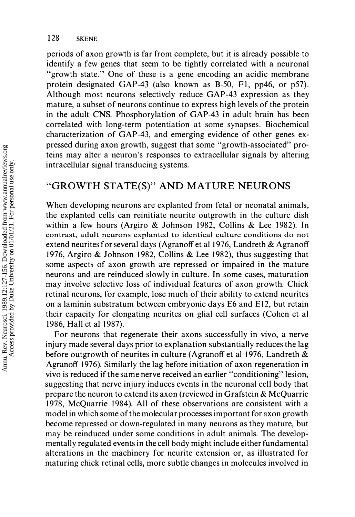periods of axon growth is far from complete, but it is already possible to identify a few genes that seem to be tightly correlated with a neuronal "growth state." One of these is a gene encoding an acidic membrane protein designated GAP-43 (also known as B-50, Fl, pp46, or p57). Although most neurons selectively reduce GAP-43 expression as they mature, a subset of neurons continue to express high levels of the protein in the adult CNS. Phosphorylation of GAP-43 in adult brain has been correlated with long-term potentiation at some synapses. Biochemical characterization of GAP-43, and emerging evidence of other genes expressed during axon growth, suggest that some "growth-associated" proteins may alter a neuron's responses to extracellular signals by altering intracellular signal transducing systems.

## "GROWTH STATE(S)" AND MATURE NEURONS

When developing neurons are explanted from fetal or neonatal animals, the explanted cells can reinitiate neurite outgrowth in the culturc dish within a few hours (Argiro & Johnson 1982, Collins & Lee 1982). In contrast, adult neurons explanted to identical culture conditions do not extend neurites for several days (Agranoff et al 1976, Landreth & Agranoff 1976, Argiro & Johnson 1982, Collins & Lee 1982), thus suggesting that some aspects of axon growth are repressed or impaired in the mature neurons and are reinduced slowly in culture. In some cases, maturation may involve selective loss of individual features of axon growth. Chick retinal neurons, for example, lose much of their ability to extend neurites on a laminin substratum between embryonic days E6 and E12, but retain their capacity for elongating neurites on glial cell surfaces (Cohen et al 1986, Hall et al 1987).

For neurons that regenerate their axons successfully in vivo, a nerve injury made several days prior to explanation substantially reduces the lag before outgrowth of neurites in culture (Agranoff et al 1976, Landreth & Agranoff 1976). Similarly the lag before initiation of axon regeneration in vivo is reduced if the same nerve received an earlier "conditioning" lesion, suggesting that nerve injury induces events in the neuronal cell body that prepare the neuron to extend its axon (reviewed in Grafstein & McQuarrie 1978, McQuarrie 1984). All of these observations are consistent with a model in which some of the molecular processes important for axon growth become repressed or down-regulated in many neurons as they mature, but may be reinduced under some conditions in adult animals. The developmentally regulated events in the cell body might include either fundamental alterations in the machinery for neurite extension or, as illustrated for maturing chick retinal cells, more subtle changes in molecules involved in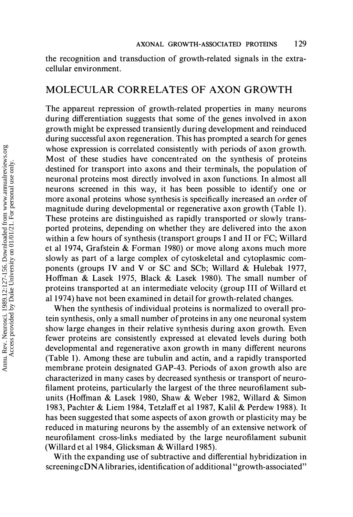the recognition and transduction of growth-related signals in the extracellular environment.

## MOLECULAR CORRELATES OF AXON GROWTH

The apparent repression of growth-related properties in many neurons during differentiation suggests that some of the genes involved in axon growth might be expressed transiently during development and reinduced during successful axon regeneration. This has prompted a search for genes whose expression is correlated consistently with periods of axon growth. Most of these studies have concentrated on the synthesis of proteins destined for transport into axons and their terminals, the population of neuronal proteins most directly involved in axon functions. In almost all neurons screened in this way, it has been possible to identify one or more axonal proteins whose synthesis is specifically increased an order of magnitude during developmental or regenerative axon growth (Table 1). These proteins are distinguished as rapidly transported or slowly transported proteins, depending on whether they are delivered into the axon within a few hours of synthesis (transport groups I and II or FC; Willard et al 1974, Grafstein & Forman 1980) or move along axons much more slowly as part of a large complex of cytoskeletal and cytoplasmic components (groups IV and V or SC and SCb; Willard & Hulebak 1977, Hoffman & Lasek 1975, Black & Lasek 1980). The small number of proteins transported at an intermediate velocity (group III of Willard et al 1974) have not been examined in detail for growth-related changes.

When the synthesis of individual proteins is normalized to overall protein synthesis, only a small number of proteins in any one neuronal system show large changes in their relative synthesis during axon growth. Even fewer proteins are consistently expressed at elevated levels during both developmental and regenerative axon growth in many different neurons (Table 1). Among these are tubulin and actin, and a rapidly transported membrane protein designated GAP-43. Periods of axon growth also are characterized in many cases by decreased synthesis or transport of neurofilament proteins, particularly the largest of the three neurofilament subunits (Hoffman & Lasek 1980, Shaw & Weber 1982, Willard & Simon 1983, Pachter & Liem 1984, Tetzlaff et al 1987, Kalil & Perdew 1988). It has been suggested that some aspects of axon growth or plasticity may be reduced in maturing neurons by the assembly of an extensive network of neurofilament cross-links mediated by the large neurofilament subunit (Willard et al 1984, Glicksman  $&$  Willard 1985).

With the expanding use of subtractive and differential hybridization in screening cDNA libraries, identification of additional "growth-associated"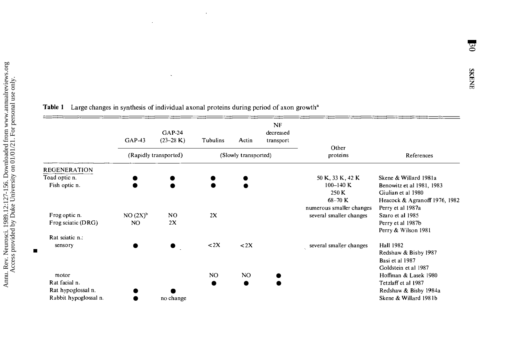$0\xi$ 

|                       | GAP-43                | $GAP-24$<br>$(23-28)$ K) | Tubulins             | Actin | NF<br>decreased<br>transport |                          |                               |
|-----------------------|-----------------------|--------------------------|----------------------|-------|------------------------------|--------------------------|-------------------------------|
|                       | (Rapidly transported) |                          | (Slowly transported) |       |                              | Other<br>proteins        | References                    |
| <b>REGENERATION</b>   |                       |                          |                      |       |                              |                          |                               |
| Toad optic n.         |                       |                          |                      |       |                              | 50 K, 33 K, 42 K         | Skene & Willard 1981a         |
| Fish optic n.         |                       |                          |                      |       |                              | $100 - 140 K$            | Benowitz et al 1981, 1983     |
|                       |                       |                          |                      |       |                              | 250 K                    | Giulian et al 1980            |
|                       |                       |                          |                      |       |                              | $68 - 70 K$              | Heacock & Agranoff 1976, 1982 |
|                       |                       |                          |                      |       |                              | numerous smaller changes | Perry et al 1987a             |
| Frog optic n.         | $NO(2X)^b$            | N <sub>O</sub>           | 2X                   |       |                              | several smaller changes  | Szaro et al 1985              |
| Frog sciatic (DRG)    | NO.                   | 2X                       |                      |       |                              |                          | Perry et al 1987b             |
|                       |                       |                          |                      |       |                              |                          | Perry & Wilson 1981           |
| Rat sciatic n.:       |                       |                          |                      |       |                              |                          |                               |
| sensory               |                       |                          | < 2X                 | < 2X  |                              | several smaller changes  | <b>Hall 1982</b>              |
|                       |                       |                          |                      |       |                              |                          | Redshaw & Bisby 1987          |
|                       |                       |                          |                      |       |                              |                          | Basi et al 1987               |
|                       |                       |                          |                      |       |                              |                          | Goldstein et al 1987          |
| motor                 |                       |                          | NO.                  | NO.   |                              |                          | Hoffman & Lasek 1980          |
| Rat facial n.         |                       |                          | ●                    |       |                              |                          | Tetzlaff et al 1987           |
| Rat hypoglossal n.    |                       |                          |                      |       |                              |                          | Redshaw & Bisby 1984a         |
| Rabbit hypoglossal n. |                       | no change                |                      |       |                              |                          | Skene & Willard 1981b         |

#### Table 1 Large changes in synthesis of individual axonal proteins during period of axon growth<sup>a</sup>

 $\sim$ 

 $\lambda$ 

 $\alpha$ 

 $\blacksquare$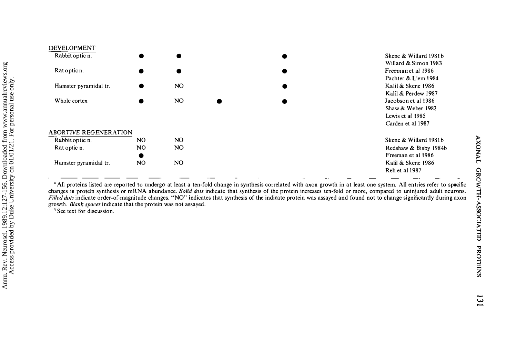| DEVELOPMENT                  |                |           |  |                       |
|------------------------------|----------------|-----------|--|-----------------------|
| Rabbit optic n.              |                | $\bullet$ |  | Skene & Willard 1981b |
|                              |                |           |  | Willard & Simon 1983  |
| Rat optic n.                 |                |           |  | Freeman et al 1986    |
|                              |                |           |  | Pachter & Liem 1984   |
| Hamster pyramidal tr.        |                | NO.       |  | Kalil & Skene 1986    |
|                              |                |           |  | Kalil & Perdew 1987   |
| Whole cortex                 |                | NO.       |  | Jacobson et al 1986   |
|                              |                |           |  | Shaw & Weber 1982     |
|                              |                |           |  | Lewis et al 1985      |
|                              |                |           |  | Carden et al 1987     |
| <b>ABORTIVE REGENERATION</b> |                |           |  |                       |
| Rabbit optic n.              | N <sub>O</sub> | NO.       |  | Skene & Willard 1981b |
| Rat optic n.                 | NO.            | NO.       |  | Redshaw & Bisby 1984b |
|                              | $\bullet$      |           |  | Freeman et al 1986    |
| Hamster pyramidal tr.        | N <sub>O</sub> | NO.       |  | Kalil & Skene 1986    |
|                              |                |           |  | Reh et al 1987        |

'All proteins listed are reported to undergo at least a ten-fold change in synthesis correlated with axon growth in at least one system. All entries refer to specific changes in protein synthesis or mRNA abundance. Solid dots indicate that synthesis of the protein increases ten-fold or more, compared to uninjured adult neurons. Filled dots indicate order-of-magnitude changes. "NO" indicates that synthesis of the indicate protein was assayed and found not to change significantly during axon growth. Blank spaces indicate that the protein was not assayed.

 $\sim$ 

 $\sim$  .

 $\qquad \qquad -$ 

 $\overline{\phantom{m}}$ 

 $\cdots$ 

b See text for discussion.

**DEUPLOD /EVE**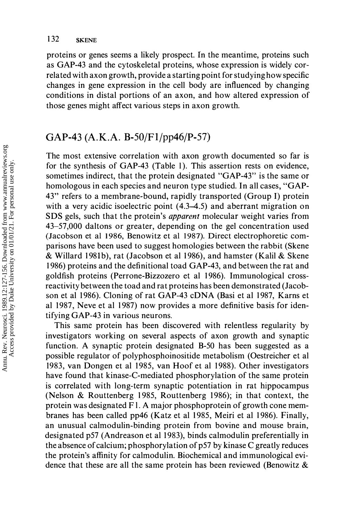proteins or genes seems a likely prospect. In the meantime, proteins such as GAP-43 and the cytoskeletal proteins, whose expression is widely correlated with axon growth, provide a starting point for studying how specific changes in gene expression in the cell body are influenced by changing conditions in distal portions of an axon, and how altered expression of those genes might affect various steps in axon growth.

## GAP-43 (A.K.A. B-50/FI/pp46/P-57)

The most extensive correlation with axon growth documented so far is for the synthesis of GAP-43 (Table I). This assertion rests on evidence, sometimes indirect, that the protein designated "GAP-43" is the same or homologous in each species and neuron type studied. In all cases, "GAP-43" refers to a membrane-bound, rapidly transported (Group I) protein with a very acidic isoelectric point  $(4.3-4.5)$  and aberrant migration on SDS gels, such that the protein's apparent molecular weight varies from 43-57,000 daltons or greater, depending on the gel concentration used (Jacobson et al 1986, Benowitz et al 1987). Direct electrophoretic comparisons have been used to suggest homologies between the rabbit (Skene & Willard 198Ib), rat (Jacobson et aI 1986), and hamster (Kalil & Skene 1986) proteins and the definitional toad GAP-43, and between the rat and goldfish proteins (Perrone-Bizzozero et al 1986). Immunological crossreactivity between the toad and rat proteins has been demonstrated (Jacobson et al 1986). Cloning of rat GAP-43 cDNA (Basi et al 1987, Karns et al 1987, Neve et al 1987) now provides a more definitive basis for identifying GAP-43 in various neurons.

This same protein has been discovered with relentless regularity by investigators working on several aspects of axon growth and synaptic function. A synaptic protein designated B-50 has been suggested as a possible regulator of polyphosphoinositide metabolism (Oestreicher et al 1983, van Dongen et al 1985, van Hoof et al 1988). Other investigators have found that kinase-C-mediated phosphorylation of the same protein is correlated with long-term synaptic potentiation in rat hippocampus (Nelson & Routtenberg 1985, Routtenberg 1986); in that context, the protein was designated F l. A major phosphoprotein of growth cone membranes has been called pp46 (Katz et al 1985, Meiri et al 1986). Finally, an unusual calmodulin-binding protein from bovine and mouse brain, designated p57 (Andreason et al 1983), binds calmodulin preferentially in the absence of calcium; phosphorylation of p57 by kinase C greatly reduces the protein's affinity for calmodulin. Biochemical and immunological evidence that these are all the same protein has been reviewed (Benowitz &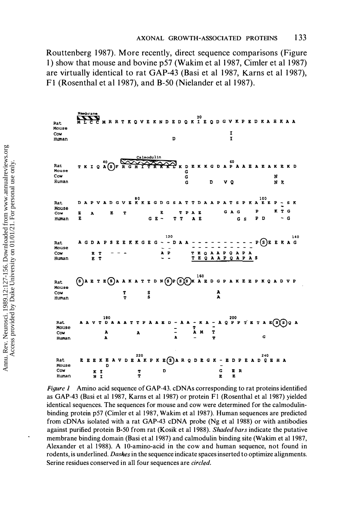Routtenberg 1987). More recently, direct sequence comparisons (Figure 1) show that mouse and bovine p57 (Wakim et al 1987, Cimler et al 1987) are virtually identical to rat GAP-43 (Basi et al 1987, Karns et al 1987), Fl (Rosenthal et al 1987), and B-50 (Nielander et al 1987).

Membrane<br>Rat **M L C C M** R R T K Q V E K N D E D Q K I E Q D G V K P E D K A H K A A Mouse Cow Human Rat Mouse Cow Human Rat Mouse Cow Human Rat Mouse Cow Human Rat Mouse Cow Human Rat Mouse Cow Human Rat Mouse Cow Human D Calmodulin I I T K <sup>I</sup> "OF ROHITRAP  $\frac{1}{2}$   $\frac{1}{2}$   $\frac{1}{2}$   $\frac{1}{2}$   $\frac{1}{2}$   $\frac{1}{2}$   $\frac{1}{2}$   $\frac{1}{2}$   $\frac{1}{2}$   $\frac{1}{2}$   $\frac{1}{2}$   $\frac{1}{2}$   $\frac{1}{2}$   $\frac{1}{2}$   $\frac{1}{2}$   $\frac{1}{2}$   $\frac{1}{2}$   $\frac{1}{2}$   $\frac{1}{2}$   $\frac{1}{2}$   $\frac{1}{2}$   $\frac{1}{2}$  G G G 60 <sup>E</sup>K K <sup>G</sup>D A P A A B A E A K & K <sup>0</sup> D V Q N Nit 80 100 DAPVA D GVE K KE G D G S A T T DAAPA T SPKA E EP- SK E A E <sup>E</sup>T E or P A E GE- TT AE GAG P KTG GS PD - G 120 140 A G D A P S E E K K G E G - - D A A - - - - - - - - - - - P (S)E E K A G <sup>K</sup>T <sup>E</sup>T A P TEQAAPQAPA<br>~- TEQAAPQAPA A A P <sup>160</sup>®A E T E @A A K A T TO N®P€/F)K A E 0 G P A K E E P K Q A 0 V P T T s S A A 180 200  $\begin{array}{cccccccccccccc} \mathtt{V} & \mathtt{T} & \mathtt{D} & \mathtt{A} & \mathtt{A} & \mathtt{A} & \mathtt{A} & \mathtt{A} & \mathtt{A} & \mathtt{A} & \mathtt{A} & \mathtt{A} & \mathtt{A} & \mathtt{A} & \mathtt{A} & \mathtt{A} & \mathtt{A} & \mathtt{A} & \mathtt{A} & \mathtt{A} & \mathtt{A} & \mathtt{A} & \mathtt{A} & \mathtt{A} & \mathtt{A} & \mathtt{A} & \mathtt{A} & \mathtt{A} & \mathtt{A} & \mathtt{A} & \$  $\begin{array}{ccccc}\n\lambda & \lambda & \lambda & \lambda\n\end{array}$  $A$  a  $T$  c 220 240 E E E K E A V D E A K P K E S A R Q D E G K - E D P E A D Q E H A o K I N<sub>T</sub> or or  $\begin{array}{ccc} \n\mathbf{C} & \mathbf{E} & \mathbf{R} \\
\mathbf{F} & \mathbf{F} & \mathbf{R}\n\end{array}$  $\overline{E}$ 

Figure 1 Amino acid sequence of GAP-43. cDNAs corresponding to rat proteins identified as GAP-43 (Basi et al 1987, Karns et al 1987) or protein F1 (Rosenthal et al 1987) yielded identical sequences. The sequences for mouse and cow were determined for the calmodulinbinding protein p57 (Cimler et al 1987, Wakim et al 1987). Human sequences are predicted from cDNAs isolated with a rat GAP-43 cDNA probe (Ng et al 1988) or with antibodies against purified protein B-50 from rat (Kosik et al 1988). Shaded bars indicate the putative membrane binding domain (Basi et al 1987) and calmodulin binding site (Wakim et al 1987, Alexander et al 1988). A 10-amino-acid in the cow and human sequence, not found in rodents, is underlined. Dashes in the sequence indicate spaces inserted to optimize alignments. Serine residues conserved in all four sequences are *circled*.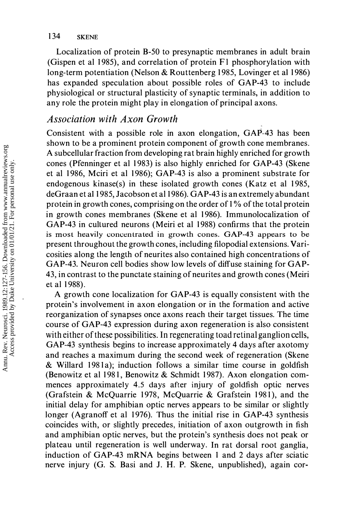Localization of protein B-50 to presynaptic membranes in adult brain (Gispen et al 1985), and correlation of protein Fl phosphorylation with long-term potentiation (Nelson & Routtenberg 1985, Lovinger et al 1986) has expanded speculation about possible roles of GAP-43 to include physiological or structural plasticity of synaptic terminals, in addition to any role the protein might play in elongation of principal axons.

#### Association with Axon Growth

Consistent with a possible role in axon elongation, GAP-43 has been shown to be a prominent protein component of growth cone membranes. A subcellular fraction from developing rat brain highly enriched for growth cones (Pfenninger et al 1983) is also highly enriched for GAP-43 (Skene et al 1986, Mciri et al 1986); GAP-43 is also a prominent substrate for endogenous kinase(s) in these isolated growth cones (Katz et al 1985, deGraan et a11985, Jacobson et aI1986). GAP-43 is an extremely abundant protein in growth cones, comprising on the order of 1 % of the total protein in growth cones membranes (Skene et al 1986). Immunolocalization of GAP-43 in cultured neurons (Meiri et al 1988) confirms that the protein is most heavily concentrated in growth cones. GAP-43 appears to be present throughout the growth cones, including filopodial extensions. Varicosities along the length of neurites also contained high concentrations of GAP-43. Neuron cell bodies show low levels of diffuse staining for GAP-43, in contrast to the punctate staining of neurites and growth cones (Meiri et aI 1988).

A growth cone localization for GAP-43 is equally consistent with the protein's involvement in axon elongation or in the formation and active reorganization of synapses once axons reach their target tissues. The time course of GAP-43 expression during axon regeneration is aiso consistent with either of these possibilities. In regenerating toad retinal ganglion cells, GAP-43 synthesis begins to increase approximately 4 days after axotomy and reaches a maximum during the second week of regeneration (Skene & Willard 1981a); induction follows a similar time course in goldfish (Benowitz et al 1981, Benowitz & Schmidt 1987). Axon elongation commences approximately 4.5 days after injury of goldfish optic nerves (Grafstein & McQuarrie 1978, McQuarrie & Grafstein 1981), and the initial delay for amphibian optic nerves appears to be similar or slightly longer (Agranoff et al 1976). Thus the initial rise in GAP-43 synthesis coincides with, or slightly precedes, initiation of axon outgrowth in fish and amphibian optic nerves, but the protein's synthesis does not peak or plateau until regeneration is well underway. In rat dorsal root ganglia, induction of GAP-43 mRNA begins between 1 and 2 days after sciatic nerve injury (G. S. Basi and J. H. P. Skene, unpublished), again cor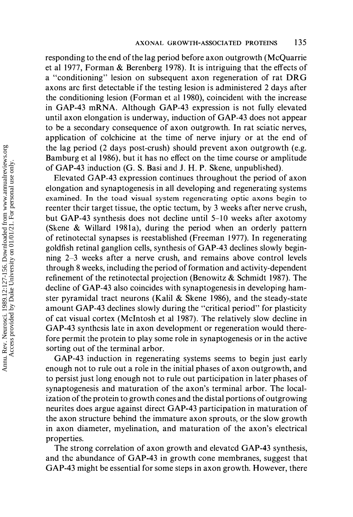responding to the end of the lag period before axon outgrowth (McQuarrie et al 1977, Forman & Berenberg 1978). It is intriguing that the effects of a "conditioning" lesion on subsequent axon regeneration of rat DRG axons are first detectable if the testing lesion is administered 2 days after the conditioning lesion (Forman et al 1980), coincident with the increase in GAP-43 mRNA. Although GAP-43 expression is not fully elevated until axon elongation is underway, induction of GAP-43 does not appear to be a secondary consequence of axon outgrowth. In rat sciatic nerves, application of colchicine at the time of nerve injury or at the end of the lag period (2 days post-crush) should prevent axon outgrowth (e.g. Bamburg et al 1986). but it has no effect on the time course or amplitude of GAP-43 induction (G. S. Basi and 1. H. P. Skene, unpublished).

Elevated GAP-43 expression continues throughout the period of axon elongation and synaptogenesis in all developing and regenerating systems examined. In the toad visual system regenerating optic axons begin to reenter their target tissue, the optic tectum, by 3 weeks after nerve crush, but GAP-43 synthesis does not decline until 5-lO weeks after axotomy (Skene  $\&$  Willard 1981a), during the period when an orderly pattern of retinotectal synapses is reestablished (Freeman 1977). In regenerating goldfish retinal ganglion cells, synthesis of GAP-43 declines slowly beginning 2-3 weeks after a nerve crush, and remains above control levels through 8 weeks, including the period of formation and activity-dependent refinement of the retinotectal projection (Benowitz & Schmidt 1987). The decline of GAP-43 also coincides with synaptogenesis in developing hamster pyramidal tract neurons (Kalil & Skene 1986), and the steady-state amount GAP-43 declines slowly during the "critical period" for plasticity of cat visual cortex (McIntosh et al 1987). The relatively slow decline in GAP-43 synthesis late in axon development or regeneration would therefore permit the protein to play some role in synaptogenesis or in the active sorting out of the terminal arbor.

GAP-43 induction in regenerating systems seems to begin just early enough not to rule out a role in the initial phases of axon outgrowth, and to persist just long enough not to rule out participation in later phases of synaptogenesis and maturation of the axon's terminal arbor. The localization of the protein to growth cones and the distal portions of outgrowing neurites does argue against direct GAP-43 participation in maturation of the axon structure behind the immature axon sprouts, or the slow growth in axon diameter, myelination, and maturation of the axon's electrical properties.

The strong correlation of axon growth and elevated GAP-43 synthesis, and thc abundance of GAP-43 in growth cone membranes, suggest that GAP-43 might be essential for some steps in axon growth. However, there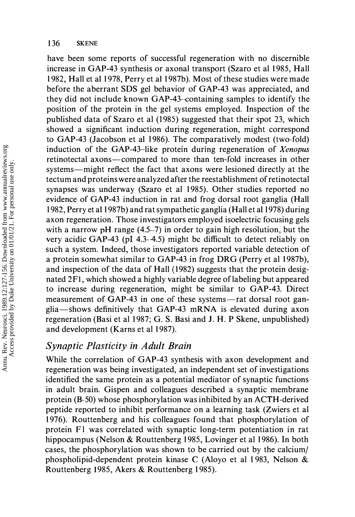have been some reports of successful regeneration with no discernible increase in GAP-43 synthesis or axonal transport (Szaro et al 1985, Hall 1982, Hall et a1 1978, Perry et a1 1987b). Most of these studies were made before the aberrant SDS gel behavior of GAP-43 was appreciated, and they did not include known GAP-43--containing samples to identify the position of the protein in the gel systems employed. Inspection of the published data of Szaro et al (1985) suggested that their spot 23, which showed a significant induction during regeneration, might correspond to GAP-43 (Jacobson et a1 1986). The comparatively modest (two-fold) induction of the GAP-43-like protein during regeneration of Xenopus retinotectal axons—compared to more than ten-fold increases in other systems—might reflect the fact that axons were lesioned directly at the tectum and proteins were analyzed after the reestablishment of retinotectal synapses was underway (Szaro et al 1985). Other studies reported no evidence of GAP-43 induction in rat and frog dorsal root ganglia (Hall 1982, Perry et a11987b) and rat sympathetic ganglia (Hall et a11978) during axon regeneration. Those investigators employed isoelectric focusing gels with a narrow pH range (4.5–7) in order to gain high resolution, but the very acidic GAP-43 (pI 4.3-4.5) might be difficult to detect reliably on such a system. Indeed, those investigators reported variable detection of a protein somewhat similar to GAP-43 in frog DRG (Perry et al 1987b), and inspection of the data of Hall (1982) suggests that the protein designated 2Fl, which showed a highly variable degree of labeling but appeared to increase during regeneration, might be similar to GAP-43. Direct measurement of GAP-43 in one of these systems—rat dorsal root ganglia-shows definitively that GAP-43 mRNA is elevated during axon regeneration (Basi et al 1987; G. S. Basi and J. H. P Skene, unpublished) and development (Karns et al 1987).

### Synaptic Plasticity in Adult Brain

While the correlation of GAP-43 synthesis with axon development and regeneration was being investigated, an independent set of investigations identified the same protein as a potential mediator of synaptic functions in adult brain. Gispen and colleagues described a synaptic membrane protein (B-50) whose phosphorylation was inhibited by an ACTH-derived peptide reported to inhibit performance on a learning task (Zwiers et al 1976). Routtenberg and his colleagues found that phosphorylation of protein Fl was correlated with synaptic long-term potentiation in rat hippocampus (Nelson & Routtenberg 1985, Lovinger et al 1986). In both cases, the phosphorylation was shown to be carried out by the calcium/ phospholipid-dependent protein kinase C (Aloyo et al 1983, Nelson & Routtenberg 1985, Akers & Routtenberg 1985).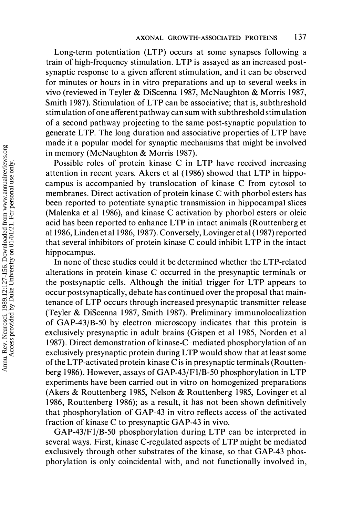Long-term potentiation (LTP) occurs at some synapses following a train of high-frequency stimulation. L TP is assayed as an increased postsynaptic response to a given afferent stimulation, and it can be observed for minutes or hours in in vitro preparations and up to several weeks in vivo (reviewed in Teyler & DiScenna 1987, McNaughton & Morris 1987, Smith 1987). Stimulation of LTP can be associative; that is, subthreshold stimulation of one afferent pathway can sum with subthreshold stimulation of a second pathway projecting to the same post-synaptic population to generate LTP. The long duration and associative properties of LTP have made it a popular model for synaptic mechanisms that might be involved in memory (McNaughton & Morris 1987).

Possible roles of protein kinase C in LTP have received increasing attention in recent years. Akers et al (1986) showed that LTP in hippocampus is accompanied by translocation of kinase C from cytosol to membranes. Direct activation of protein kinase C with phorbol esters has been reported to potentiate synaptic transmission in hippocampal slices (Malenka et al 1986), and kinase C activation by phorbol esters or oleic acid has been reported to enhance L TP in intact animals (Routtenberg et a1 1986, Linden et a1 1986, 1987). Conversely, Lovinger et al (1987) reported that several inhibitors of protein kinase C could inhibit L TP in the intact hippocampus.

In none of these studies could it be determined whether the L TP-related alterations in protein kinase C occurred in the presynaptic terminals or the postsynaptic cells. Although the initial trigger for LTP appears to occur postsynaptically, debate has continued over the proposal that maintenance of LTP occurs through increased presynaptic transmitter release (Teyler & DiScenna 1987, Smith 1987). Preliminary immunolocalization of GAP-43/B-50 by electron microscopy indicates that this protein is exclusively presynaptic in adult brains (Gispen et al 1985, Norden et al 1987). Direct demonstration of kinase-C-mediated phosphorylation of an exclusively presynaptic protein during LTP would show that at least some of the LTP-activated protein kinase C is in presynaptic terminals (Routtenberg 1986). However, assays of GAP-43/Fl/B-50 phosphorylation in LTP experiments have been carried out in vitro on homogenized preparations (Akers & Routtenberg 1985, Nelson & Routtenberg 1985, Lovinger et al 1986, Routtenberg 1986); as a result, it has not been shown definitively that phosphorylation of GAP-43 in vitro reflects access of the activated fraction of kinase C to presynaptic GAP-43 in vivo.

GAP-43/Fl/B-50 phosphorylation during LTP can be interpreted in several ways. First, kinase C-regulated aspects of LTP might be mediated exclusively through other substrates of the kinase, so that GAP-43 phosphorylation is only coincidental with, and not functionally involved in,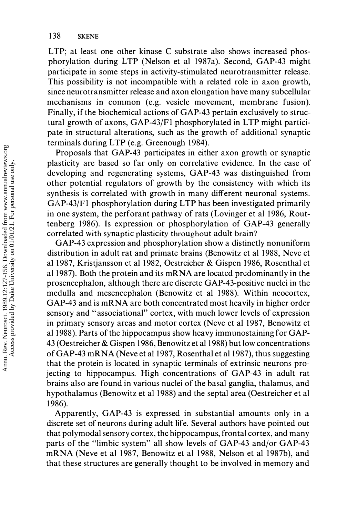LTP; at least one other kinase C substrate also shows increased phosphorylation during LTP (Nelson et al 1987a). Second, GAP-43 might participate in some steps in activity-stimulated neurotransmitter release. This possibility is not incompatible with a related role in axon growth, since neurotransmitter release and axon elongation have many subcellular mechanisms in common (e.g. vesicle movement, membrane fusion). Finally, if the biochemical actions of GAP-43 pertain exclusively to structural growth of axons, GAP-43/FI phosphorylated in LTP might participate in structural alterations, such as the growth of additional synaptic terminals during LTP (e.g. Greenough 1984).

Proposals that GAP-43 participates in either axon growth or synaptic plasticity are based so far only on correlative evidence. In the case of developing and regenerating systems, GAP-43 was distinguished from other potential regulators of growth by the consistency with which its synthesis is correlated with growth in many different neuronal systems. GAP-43/FI phosphorylation during LTP has been investigated primarily in one system, the perforant pathway of rats (Lovinger et al 1986, Routtenberg 1986). Is expression or phosphorylation of GAP-43 generally correlated with synaptic plasticity throughout adult brain?

GAP-43 expression and phosphorylation show a distinctly nonuniform distribution in adult rat and primate brains (Benowitz et al 1988, Neve et al 1987, Kristjansson et al 1982, Oestreicher & Gispen 1986, Rosenthal et al 1987). Both the protein and its mRNA are located predominantly in the prosencephalon, although there are discrete GAP-43-positive nuclei in the medulla and mesencephalon (Benowitz et al 1988). Within neocortex, GAP-43 and is mRNA are both concentrated most heavily in higher order sensory and "associational" cortex, with much lower levels of expression in primary sensory areas and motor cortex (Neve et al 1987, Benowitz et al 1988). Parts of the hippocampus show heavy immunostaining for GAP-43 (Oestreicher & Gispen 1 986, Benowitz et a1 1 988) but low concentrations of GAP-43 mRNA (Neve et al 1987, Rosenthal et al 1987), thus suggesting that the protein is located in synaptic terminals of extrinsic neurons projecting to hippocampus. High concentrations of GAP-43 in adult rat brains also are found in various nuclei of the basal ganglia, thalamus, and hypothalamus (Benowitz et al 1988) and the septal area (Oestreicher et al 1 986).

Apparently, GAP-43 is expressed in substantial amounts only in a discrete set of neurons during adult life. Several authors have pointed out that polymodal sensory cortex, thc hippocampus, frontal cortex, and many parts of the "limbic system" all show levels of GAP-43 and/or GAP-43 mRNA (Neve et al 1987, Benowitz et al 1988, Nelson et al 1987b), and that these structures are generally thought to be involved in memory and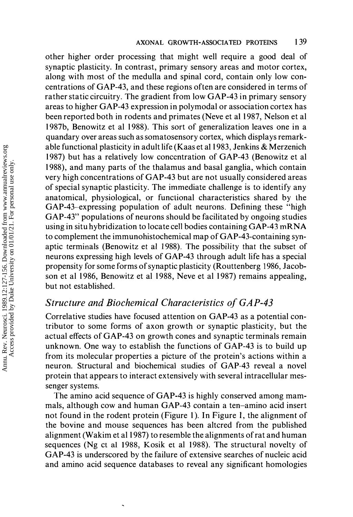other higher order processing that might well require a good deal of synaptic plasticity. In contrast, primary sensory areas and motor cortex, along with most of the medulla and spinal cord, contain only low concentrations of GAP-43, and these regions often are considered in terms of rather static circuitry. The gradient from low GAP-43 in primary sensory areas to higher GAP-43 expression in polymodal or association cortex has been reported both in rodents and primates (Neve et a1 1987, Nelson et al 1987b, Benowitz et al 1988). This sort of generalization leaves one in a quandary over areas such as somatosensory cortex, which displays remarkable functional plasticity in adult life (Kaas et a1 1983, Jenkins & Merzenich 1987) but has a relatively low concentration of GAP-43 (Benowitz et al 1988), and many parts of the thalamus and basal ganglia, which contain very high concentrations of GAP-43 but are not usually considered areas of special synaptic plasticity. The immediate challenge is to identify any anatomical, physiological, or functional characteristics shared by the GAP-43--expressing population of adult neurons. Defining these "high GAP-43" populations of neurons should be facilitated by ongoing studies using in situ hybridization to locate cell bodies containing GAP-43 mRNA to complement the immunohistochemical map of GAP-43-containing synaptic terminals (Benowitz et al 1988). The possibility that the subset of neurons expressing high levels of GAP-43 through adult life has a special propensity for some forms of synaptic plasticity (Routtenberg 1986, Jacobson et al 1986, Benowitz et al 1988, Neve et al 1987) remains appealing, but not established.

### Structure and Biochemical Characteristics of GAP-43

Correlative studies have focused attention on GAP-43 as a potential contributor to some forms of axon growth or synaptic plasticity, but the actual effects of GAP-43 on growth cones and synaptic terminals remain unknown. One way to establish the functions of GAP-43 is to build up from its molecular properties a picture of the protein's actions within a neuron. Structural and biochemical studies of GAP-43 reveal a novel protein that appears to interact extensively with several intracellular messenger systems.

The amino acid sequence of GAP-43 is highly conserved among mammals, although cow and human GAP-43 contain a ten-amino acid insert not found in the rodent protein (Figure 1). In Figure 1, the alignment of the bovine and mouse sequences has been altcred from the published alignment (Wakim et al 1987) to resemble the alignments of rat and human sequences (Ng ct al 1988, Kosik et al 1988). The structural novelty of GAP-43 is underscored by the failure of extensive searches of nucleic acid and amino acid sequence databases to reveal any significant homologies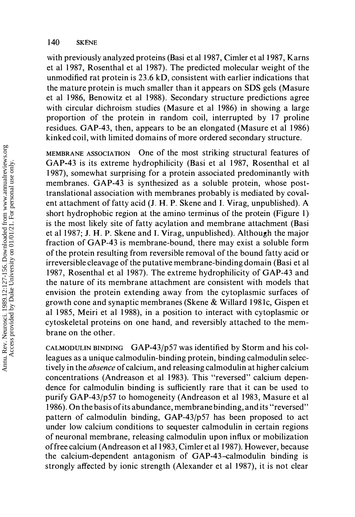with previously analyzed proteins (Basi et al 1987, Cimler et al 1987, Karns et al 1987, Rosenthal et al 1987). The predicted molecular weight of the unmodified rat protein is 23.6 kD, consistent with earlier indications that the mature protein is much smaller than it appears on SDS gels (Masure et al 1986, Benowitz et al 1988). Secondary structure predictions agree with circular dichroism studies (Masure et al 1986) in showing a large proportion of the protein in random coil, interrupted by 17 proline residues. GAP-43, then, appears to be an elongated (Masure et al 1986) kinked coil, with limited domains of more ordered secondary structure.

MEMBRANE ASSOCIATION One of the most striking structural features of GAP-43 is its extreme hydrophilicity (Basi et al 1987, Rosenthal et al 1987), somewhat surprising for a protein associated predominantly with membranes. GAP-43 is synthesized as a soluble protein, whose posttranslational association with membranes probably is mediated by covalent attachment of fatty acid (J. H. P. Skene and 1. Virag, unpublished). A short hydrophobic region at the amino terminus of the protein (Figure 1) is the most likely site of fatty acylation and membrane attachment (Basi et al 1 987; J. H. P. Skene and I. Virag, unpublished). Although the major fraction of GAP-43 is membrane-bound, there may exist a soluble form of the protein resulting from reversible removal of the bound fatty acid or irreversible cleavage of the putative membrane-binding domain (Basi et al 1 987, Rosenthal et al 1 987). The extreme hydrophilicity of GAP-43 and the nature of its membrane attachment are consistent with models that envision the protein extending away from the cytoplasmic surfaces of growth cone and synaptic membranes (Skene & Willard 1981c, Gispen et al 1985, Meiri et al 1988), in a position to interact with cytoplasmic or cytoskeletal proteins on one hand, and reversibly attached to the membrane on the other.

CALMODULIN BINDING GAP-43/p57 was identified by Storm and his colleagues as a unique calmodulin-binding protein, binding calmodulin selectively in the *absence* of calcium, and releasing calmodulin at higher calcium concentrations (Andreason et al 1983). This "reversed" calcium dependence for calmodulin binding is sufficiently rare that it can be used to purify GAP-43/p57 to homogeneity (Andreason et al 1983, Masure et al 1 986). On the basis of its abundance, membrane binding, and its "reversed" pattern of calmodulin binding, GAP-43/p57 has been proposed to act under low calcium conditions to sequester calmodulin in certain regions of neuronal membrane, releasing calmodulin upon influx or mobilization offree calcium (Andreason et a11983, Cimler et aI 1987). However, because the calcium-dependent antagonism of GAP-43-calmodulin binding is strongly affected by ionic strength (Alexander et al 1987), it is not clear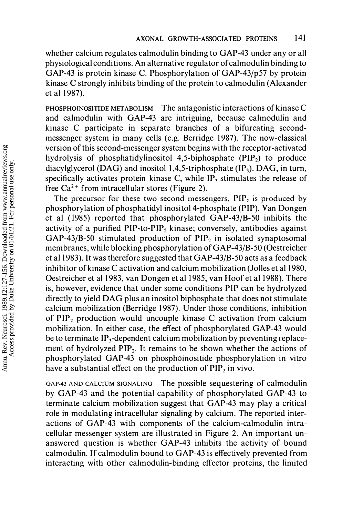whether calcium regulates calmodulin binding to GAP-43 under any or all physiological conditions. An alternative regulator of calmodulin binding to GAP-43 is protein kinase C. Phosphorylation of GAP-43/p57 by protein kinase C strongly inhibits binding of the protein to calmodulin (Alexander et al 1987).

PHOSPHOINOSITIDE METABOLISM The antagonistic interactions of kinase C and calmodulin with GAP-43 are intriguing, because calmodulin and kinase C participate in separate branches of a bifurcating secondmessenger system in many cells (e.g. Berridge 1987). The now-classical version of this second-messenger system begins with the receptor-activated hydrolysis of phosphatidylinositol 4,5-biphosphate (PIP<sub>2</sub>) to produce diacylglycerol (DAG) and inositol 1,4,5-triphosphate  $(\text{IP}_3)$ . DAG, in turn, specifically activates protein kinase C, while  $IP_3$  stimulates the release of free  $Ca^{2+}$  from intracellular stores (Figure 2).

The precursor for these two second messengers,  $PIP<sub>2</sub>$  is produced by phosphorylation of phosphatidyl inositol 4-phosphate (PIP). Van Dongen et al ( 1985) reported that phosphorylated GAP-43/B-50 inhibits the activity of a purified  $PIP$ -to- $PIP<sub>2</sub>$  kinase; conversely, antibodies against GAP-43/B-50 stimulated production of  $PIP<sub>2</sub>$  in isolated synaptosomal membranes, while blocking phosphorylation of GAP-43/B-50 (Oestreicher et aI 1 983). It was therefore suggested that GAP-43/B-50 acts as a feedback inhibitor of kinase C activation and calcium mobilization (Jolles et al 1980, Oestreicher et al 1 983, van Dongen et al 1 985, van Hoof et al 1 988). There is, however, evidence that under some conditions PIP can be hydrolyzed directly to yield DAG plus an inositol biphosphate that does not stimulate calcium mobilization (Berridge 1987). Under those conditions, inhibition of  $PIP<sub>2</sub>$  production would uncouple kinase C activation from calcium mobilization. In either case, the effect of phosphorylated GAP-43 would be to terminate  $IP_3$ -dependent calcium mobilization by preventing replacement of hydrolyzed  $PIP_2$ . It remains to be shown whether the actions of phosphorylated GAP-43 on phosphoinositide phosphorylation in vitro have a substantial effect on the production of  $\text{PIP}_2$  in vivo.

GAP-43 AND CALCIUM SIGNALING The possible sequestering of calmodulin by GAP-43 and the potential capability of phosphorylated GAP-43 to terminate calcium mobilization suggest that GAP-43 may play a critical role in modulating intracellular signaling by calcium. The reported interactions of GAP-43 with components of the calcium-calmodulin intracellular messenger system are illustrated in Figure 2. An important unanswered question is whether GAP-43 inhibits the activity of bound calmodulin. If calmodulin bound to GAP-43 is effectively prevented from interacting with other calmodulin-binding effector proteins, the limited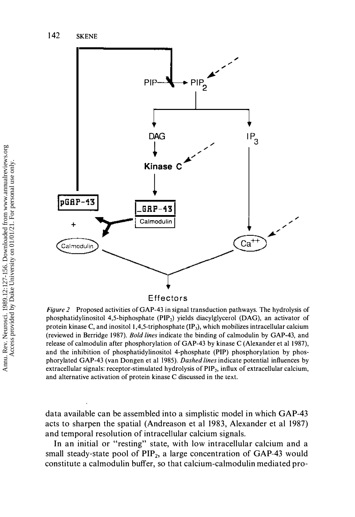

Figure 2 Proposed activities of GAP-43 in signal transduction pathways. The hydrolysis of phosphatidylinositol 4,5-biphosphate (PIP)) yields diacylglycerol (DAG), an activator of protein kinase C, and inositol 1,4,5-triphosphate (IP<sub>3</sub>), which mobilizes intracellular calcium (reviewed in Berridge 1987). *Bold lines* indicate the binding of calmodulin by GAP-43, and release of calmodulin after phosphorylation of GAP-43 by kinase C (Alexander et al 1987), and the inhibition of phosphatidylinositol 4-phosphate (PIP) phosphorylation by phosphorylated GAP-43 (van Dongen et al 1985). Dashed lines indicate potential influences by extracellular signals: receptor-stimulated hydrolysis of PIP<sub>2</sub>, influx of extracellular calcium, and alternative activation of protein kinase C discussed in the text.

data available can be assembled into a simplistic model in which GAP-43 acts to sharpen the spatial (Andreason et al 1983, Alexander et al 1987) and temporal resolution of intracellular calcium signals.

In an initial or "resting" state, with low intracellular calcium and a small steady-state pool of  $PIP_2$ , a large concentration of GAP-43 would constitute a calmodulin buffer, so that calcium-calmodulin mediated pro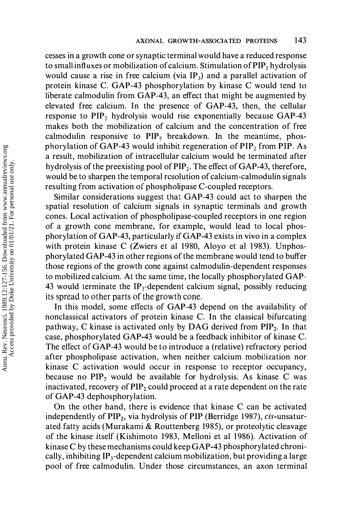cesses in a growth cone or synaptic terminal would have a reduced response to small influxes or mobilization of calcium. Stimulation of  $\text{PIP}_2$  hydrolysis would cause a rise in free calcium (via  $IP_3$ ) and a parallel activation of protein kinase C. GAP-43 phosphorylation by kinase C would tend to liberate calmodulin from GAP-43, an effect that might be augmented by elevated free calcium. In the presence of GAP-43, then, the cellular response to PIP<sub>2</sub> hydrolysis would rise exponentially because GAP-43 makes both the mobilization of calcium and the concentration of free calmodulin responsive to PIP<sub>2</sub> breakdown. In the meantime, phosphorylation of GAP-43 would inhibit regeneration of  $PIP<sub>2</sub>$  from PIP. As a result, mobilization of intracellular calcium would be terminated after hydrolysis of the preexisting pool of  $PIP<sub>2</sub>$ . The effect of GAP-43, therefore, would be to sharpen the temporal resolution of calcium-calmodulin signals resulting from activation of phospholipase C-coupled receptors.

Similar considerations suggest that GAP-43 could act to sharpen the spatial resolution of calcium signals in synaptic terminals and growth cones. Local activation of phospholipase-coupled receptors in one region of a growth cone membrane, for example, would lead to local phosphorylation of GAP-43, particularly if GAP-43 exists in vivo in a complex with protein kinase C (Zwiers et al 1980, Aloyo et al 1983). Unphosphorylated GAP-43 in other regions of the membrane would tend to buffer those regions of the growth cone against calmodulin-dependent responses to mobilized calcium. At the same time, the locally phosphorylated GAP-43 would terminate the IP<sub>3</sub>-dependent calcium signal, possibly reducing its spread to other parts of the growth cone.

In this model, some effects of GAP-43 depend on the availability of nonclassical activators of protein kinase C. In the classical bifurcating pathway, C kinase is activated only by DAG derived from  $\text{PIP}_2$ . In that case, phosphorylated GAP-43 would be a feedback inhibitor of kinase C. The effect of GAP-43 would be to introduce a (relative) refractory period after phospholipase activation, when neither calcium mobilization nor kinase C activation would occur in response to receptor occupancy, because no  $PIP<sub>2</sub>$  would be available for hydrolysis. As kinase C was inactivated, recovery of PIP<sub>2</sub> could proceed at a rate dependent on the rate of GAP-43 dephosphorylation.

On the other hand, there is evidence that kinase C can be activated independently of  $\text{PIP}_2$ , via hydrolysis of  $\text{PIP}$  (Berridge 1987), cis-unsaturated fatty acids (Murakami & Routtenberg 1985), or proteolytic cleavage of the kinase itself (Kishimoto 1983, Melloni et al 1 986). Activation of kinase C by these mechanisms could keep GAP-43 phosphorylated chronically, inhibiting IP<sub>3</sub>-dependent calcium mobilization, but providing a large pool of free calmodulin. Under those circumstances, an axon terminal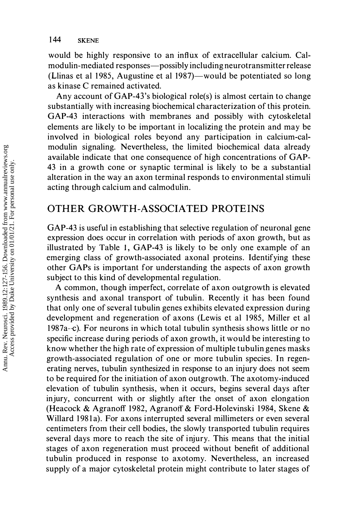would be highly responsive to an influx of extracellular calcium. Calmodulin-mediated responses—possibly including neurotransmitter release (Llinas et al 1985, Augustine et al 1987)—would be potentiated so long as kinase C remained activated.

Any account of GAP-43's biological role(s) is almost certain to change substantially with increasing biochemical characterization of this protein. GAP-43 interactions with membranes and possibly with cytoskeletal elements are likely to be important in localizing the protein and may be involved in biological roles beyond any participation in calcium-calmodulin signaling. Nevertheless, the limited biochemical data already available indicate that one consequence of high concentrations of GAP-43 in a growth cone or synaptic terminal is likely to be a substantial alteration in the way an axon terminal responds to environmental stimuli acting through calcium and calmodulin.

# OTHER GROWTH-ASSOCIATED PROTEINS

GAP-43 is useful in establishing that selective regulation of neuronal gene expression does occur in correlation with periods of axon growth, but as illustrated by Table I, GAP-43 is likely to be only one example of an emerging class of growth-associated axonal proteins. Identifying these other GAPs is important for understanding the aspects of axon growth subject to this kind of developmental regulation.

A common, though imperfect, correlate of axon outgrowth is elevated synthesis and axonal transport of tubulin. Recently it has been found that only one of several tubulin genes exhibits elevated expression during development and regeneration of axons (Lewis et al 1985, Miller et al 1 987a-c). For neurons in which total tubulin synthesis shows little or no specific increase during periods of axon growth, it would be interesting to know whether the high rate of expression of multiple tubulin genes masks growth-associated regulation of one or more tubulin species. In regenerating nerves, tubulin synthesized in response to an injury does not seem to be required for the initiation of axon outgrowth. The axotomy-induced elevation of tubulin synthesis, when it occurs, begins several days after injury, concurrent with or slightly after the onset of axon elongation (Heacock & Agranoff 1982, Agranoff & Ford-Holevinski 1984, Skene & Willard 1981a). For axons interrupted several millimeters or even several centimeters from their cell bodies, the slowly transported tubulin requires several days more to reach the site of injury. This means that the initial stages of axon regeneration must proceed without benefit of additional tubulin produced in response to axotomy. Nevertheless, an increased supply of a major cytoskeletal protein might contribute to later stages of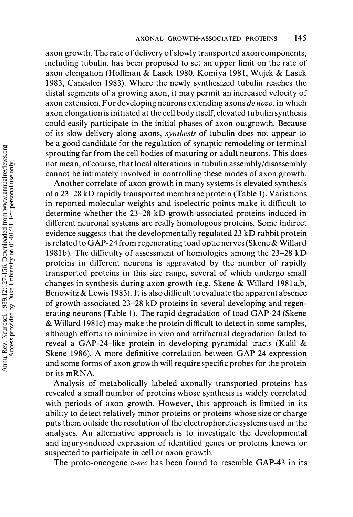axon growth. The rate of delivery of slowly transported axon components, including tubulin, has been proposed to set an upper limit on the rate of axon elongation (Hoffman & Lasek 1980, Komiya 1981, Wujek & Lasek 1983, Cancalon 1983). Where the newly synthesized tubulin reaches the distal segments of a growing axon, it may permit an increased velocity of axon extension. For developing neurons extending axons *de novo*, in which axon elongation is initiated at the cell body itself, elevated tubulin synthesis could easily participate in the initial phases of axon outgrowth. Because of its slow delivery along axons, synthesis of tubulin does not appear to be a good candidate for the regulation of synaptic remodeling or terminal sprouting far from the cell bodies of maturing or adult neurons. This does not mean, of course, that local alterations in tubulin assembly/disassembly cannot be intimately involved in controlling these modes of axon growth.

Another correlate of axon growth in many systems is elevated synthesis of a 23-28 kD rapidly transported membrane protein (Table 1). Variations in reported molecular weights and isoelectric points make it difficult to determine whether the 23-28 kD growth-associated proteins induced in different neuronal systems are really homologous proteins. Some indirect evidence suggests that the developmentally regulated 23 kD rabbit protein is related to GAP-24 from regenerating toad optic nerves (Skene & Willard 1 981 b). The difficulty of assessment of homologies among the 23-28 kD proteins in different neurons is aggravated by the number of rapidly transported proteins in this sizc range, scveral of which undcrgo small changes in synthesis during axon growth (e.g. Skene & Willard 198Ia,b, Benowitz  $&$  Lewis 1983). It is also difficult to evaluate the apparent absence of growth-associated 23-28 kD proteins in several developing and regenerating neurons (Table 1). The rapid degradation of toad GAP-24 (Skene & Willard 1981c) may make the protein difficult to detect in some samples, although efforts to minimize in vivo and artifactual degradation failed to reveal a GAP-24-like protein in developing pyramidal tracts (Kalil & Skene 1986). A more definitive correlation between GAP-24 expression and some forms of axon growth will require specific probes for the protein or its mRNA.

Analysis of metabolically labeled axonally transported proteins has revealed a small number of proteins whose synthesis is widely correlated with periods of axon growth. However, this approach is limited in its ability to detect relatively minor proteins or proteins whose size or charge puts them outside the resolution of the electrophoretic systems used in the analyses. An alternative approach is to investigate the developmental and injury-induced expression of identified genes or proteins known or suspected to participate in cell or axon growth.

The proto-oncogene c-src has been found to resemble GAP-43 in its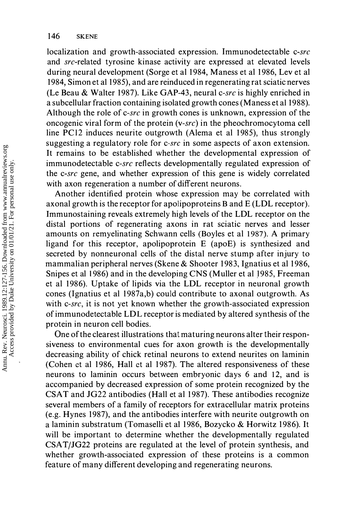localization and growth-associated expression. Immunodetectable c-src and src-related tyrosine kinase activity are expressed at elevated levels during neural development (Sorge et al 1984, Maness et al 1986, Lev et al 1984, Simon et al 1985), and are reinduced in regenerating rat sciatic nerves (Le Beau & Walter 1987). Like GAP-43, neural c-src is highly enriched in a subcellular fraction containing isolated growth cones (Maness et al 1988). Although the role of c-src in growth cones is unknown, expression of the oncogenic viral form of the protein (v-src) in the pheochromocytoma cell line PC12 induces neurite outgrowth (Alema et al 1985), thus strongly suggesting a regulatory role for c-src in some aspects of axon extension. It remains to be established whether the developmental expression of immunodetectable c-src reflects developmentally regulated expression of the c-src gene, and whether expression of this gene is widely correlated with axon regeneration a number of different neurons.

Another identified protein whose expression may be correlated with axonal growth is the receptor for apolipoproteins B and E (LDL receptor). Immunostaining reveals extremely high levels of the LDL receptor on the distal portions of regenerating axons in rat sciatic nerves and lesser amounts on remyelinating Schwann cells (Boyles et al 1987). A primary ligand for this receptor, apolipoprotein E (apoE) is synthesized and secreted by nonneuronal cells of the distal nerve stump after injury to mammalian peripheral nerves (Skene & Shooter 1983, Ignatius et al 1986, Snipes et al 1986) and in the developing CNS (Muller et al 1985, Freeman et al 1986). Uptake of lipids via the LDL receptor in neuronal growth cones (Ignatius et al 1987a,b) could contribute to axonal outgrowth. As with c-src, it is not yet known whether the growth-associated expression of immunodetectable LD L receptor is mediated by altered synthesis of the protein in neuron cell bodies.

One of the clearest illustrations that maturing neurons alter their responsiveness to environmental cues for axon growth is the developmentally decreasing ability of chick retinal neurons to extend neurites on laminin (Cohen et al 1986, Hall et al 1987). The altered responsiveness of these neurons to laminin occurs between embryonic days 6 and 12, and is accompanied by decreased expression of some protein recognized by the CSAT and JG22 antibodies (Hall et al 1987). These antibodies recognize several members of a family of receptors for extracellular matrix proteins (e.g. Hynes 1 987), and the antibodies interfere with neurite outgrowth on a laminin substratum (Tomaselli et al 1986, Bozycko & Horwitz 1986). It will be important to determine whether the developmentally regulated CSAT/JG22 proteins are regulated at the level of protein synthesis, and whether growth-associated expression of these proteins is a common feature of many different developing and regenerating neurons.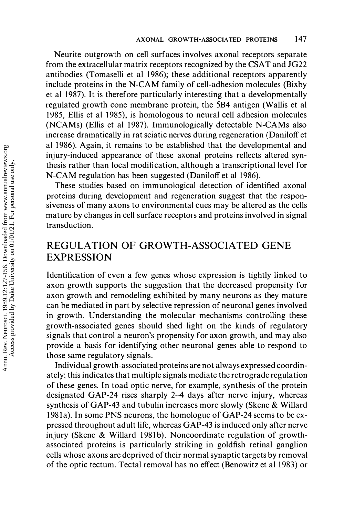Neurite outgrowth on cell surfaces involves axonal receptors separate from the extracellular matrix receptors recognized by the CSAT and JG22 antibodies (Tomaselli et al 1 986); these additional receptors apparently include proteins in the N-CAM family of cell-adhesion molecules (Bixby et al 1 987). It is therefore particularly interesting that a developmentally regulated growth cone membrane protein, the 5B4 antigen (Wallis et al 1985, Ellis et al 1985), is homologous to neural cell adhesion molecules (NCAMs) (Ellis et al 1987). Immunologically detectable N-CAMs also increase dramatically in rat sciatic nerves during regeneration (Daniloff et al 1 986). Again, it remains to be established that the developmental and injury-induced appearance of these axonal proteins reflects altered synthesis rather than local modification, although a transcriptional level for N-CAM regulation has been suggested (Daniloff et al 1986).

These studies based on immunological detection of identified axonal proteins during development and regeneration suggest that the responsiveness of many axons to environmental cues may be altered as the cells mature by changes in cell surface receptors and proteins involved in signal transduction.

# REGULATION OF GROWTH-ASSOCIATED GENE EXPRESSION

Identification of even a few genes whose expression is tightly linked to axon growth supports the suggestion that the decreased propensity for axon growth and remodeling exhibited by many neurons as they mature can be mediated in part by selective repression of neuronal genes involved in growth. Understanding the molecular mechanisms controlling these growth-associated genes should shed light on the kinds of regulatory signals that control a neuron's propensity for axon growth, and may also provide a basis for identifying other neuronal genes able to respond to those same regulatory signals.

Individual growth-associated proteins are not always expressed coordinately; this indicates that multiple signals mediate the retrograde regulation of these genes. In toad optic nerve, for example, synthesis of the protein designated GAP-24 rises sharply 2-4 days after nerve injury, whereas synthesis of GAP-43 and tubulin increases more slowly (Skene & Willard 1 981a). In some PNS neurons, the homologue of GAP-24 seems to be expressed throughout adult life, whereas GAP-43 is induced only after nerve injury (Skene & Willard 1981b). Noncoordinate regulation of growthassociated proteins is particularly striking in goldfish retinal ganglion cells whose axons are deprived of their normal synaptic targets by removal of the optic tectum. Tectal removal has no effect (Benowitz et al 1 983) or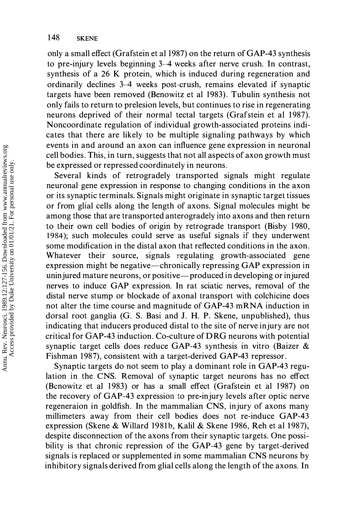only a small effect (Grafstein et a1 1987) on the return of GAP-43 synthesis to pre-injury levels beginning 3-4 weeks after nerve crush. In contrast, synthesis of a 26 K protein, which is induced during regeneration and ordinarily declines 3-4 weeks post-crush, remains elevated if synaptic targets have been removed (Benowitz et al 1983). Tubulin synthesis not only fails to return to prelesion levels, but continues to rise in regenerating neurons deprived of their normal tectal targets (Grafstein et al 1987). Noncoordinate regulation of individual growth-associated proteins indicates that there are likely to be multiple signaling pathways by which events in and around an axon can influence gene expression in neuronal cell bodies. This, in turn, suggests that not all aspects of axon growth must be expressed or repressed coordinately in neurons.

Several kinds of retrogradely transported signals might regulate neuronal gene expression in response to changing conditions in the axon or its synaptic terminals. Signals might originate in synaptic target tissues or from glial cells along the length of axons. Signal molecules might be among those that are transported anterogradely into axons and then return to their own cell bodies of origin by retrograde transport (Bisby 1980, 1984); such molecules could serve as useful signals if they underwent some modification in the distal axon that reflected conditions in the axon. Whatever their source, signals regulating growth-associated gene expression might be negative—chronically repressing GAP expression in unin jured mature neurons, or positive—produced in developing or in jured nerves to induce GAP expression. In rat sciatic nerves, removal of the distal nerve stump or blockade of axonal transport with colchicine does not alter the time course and magnitude of GAP-43 mRNA induction in dorsal root ganglia (G. S. Basi and J. H. P. Skene, unpublished), thus indicating that inducers produced distal to the site of nerve injury are not critical for GAP-43 induction. Co-culture of D RG neurons with potential synaptic target cells does reduce GAP-43 synthesis in vitro (Baizer & Fishman 1987), consistent with a target-derived GAP-43 repressor.

Synaptic targets do not seem to play a dominant role in GAP-43 regulation in the CNS. Removal of synaptic target neurons has no effect (Benowitz et al 1983) or has a small effect (Grafstein et al 1987) on the recovery of GAP-43 expression to pre-injury levels after optic nerve regeneraion in goldfish. In the mammalian CNS, injury of axons many millimeters away from their cell bodies does not re-induce GAP-43 expression (Skene & Willard 1981b, Kalil & Skene 1986, Reh et al 1987), despite disconnection of the axons from their synaptic targets. One possibility is that chronic repression of the GAP-43 gene by target-derived signals is replaced or supplemented in some mammalian CNS neurons by inhibitory signals derived from glial cells along the length of the axons. In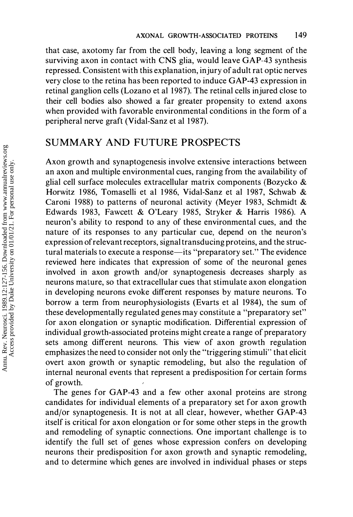that case, axotomy far from the cell body, leaving a long segment of the surviving axon in contact with CNS glia, would leave GAP-43 synthesis repressed. Consistent with this explanation, injury of adult rat optic nerves very close to the retina has been reported to induce GAP-43 expression in retinal ganglion cells (Lozano et al 1987). The retinal cells injured close to their cell bodies also showed a far greater propensity to extend axons when provided with favorable environmental conditions in the form of a peripheral nerve graft (Vidal-Sanz et al 1987).

#### SUMMARY AND FUTURE PROSPECTS

Axon growth and synaptogenesis involve extensive interactions between an axon and multiple environmental cues, ranging from the availability of glial cell surface molecules extracellular matrix components (Bozycko & Horwitz 1986, Tomaselli et al 1986, Vidal-Sanz et al 1987, Schwab & Caroni 1988) to patterns of neuronal activity (Meyer 1983, Schmidt  $\&$ Edwards 1983, Fawcett & O'Leary 1985, Stryker & Harris 1986). A neuron's ability to respond to any of these environmental cues, and the nature of its responses to any particular cue, depend on the neuron's expression of relevant receptors, signal transducing proteins, and the structural materials to execute a response—its "preparatory set." The evidence reviewed here indicates that expression of some of the neuronal genes involved in axon growth and/or synaptogenesis decreases sharply as neurons mature, so that extracellular cues that stimulate axon elongation in developing neurons evoke different responses by mature neurons. To borrow a term from neurophysiologists (Evarts et al 1984), the sum of these developmentally regulated genes may constitute a "preparatory set" for axon elongation or synaptic modification. Differential expression of individual growth-associated proteins might create a range of preparatory sets among different neurons. This view of axon growth regulation emphasizes the need to consider not only the "triggering stimuli" that elicit overt axon growth or synaptic remodeling, but also the regulation of internal neuronal events that represent a predisposition for certain forms of growth.

The genes for GAP-43 and a few other axonal proteins are strong candidates for individual elements of a preparatory set for axon growth and/or synaptogenesis. It is not at all clear, however, whether GAP-43 itself is critical for axon elongation or for some other steps in the growth and remodeling of synaptic connections. One important challenge is to identify the full set of genes whose expression confers on developing neurons their predisposition for axon growth and synaptic remodeling, and to determine which genes are involved in individual phases or steps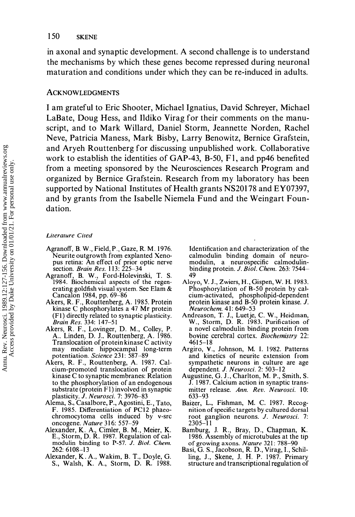in axonal and synaptic development. A second challenge is to understand the mechanisms by which these genes become repressed during neuronal maturation and conditions under which they can be re-induced in adults.

#### **ACKNOWLEDGMENTS**

I am grateful to Eric Shooter, Michael Ignatius, David Schreyer, Michael LaBate, Doug Hess, and Ildiko Virag for their comments on the manuscript, and to Mark Willard, Daniel Storm, Jeannette Norden, Rachel Neve, Patricia Maness, Mark Bisby, Larry Benowitz, Bernice Grafstein, and Aryeh Routtenberg for discussing unpublished work. Collaborative work to establish the identities of GAP-43, B-50, Fl, and pp46 benefited from a meeting sponsored by the Neurosciences Research Program and organized by Bernice Grafstein. Research from my laboratory has been supported by National Institutes of Health grants NS20l 78 and EY07397, and by grants from the Isabelle Niemela Fund and the Weingart Foundation.

#### Literature Cited

- Agranoff, B. W., Field, P., Gaze, R. M. 1976. Neurite outgrowth from explanted Xenopus retina: An effect of prior optic nerve section. Brain Res. 113: 225-34
- Agranoff, B. W., Ford-Holevinski, T. S. 1984. Biochemical aspects of the regen-erating goldfish visual system. See Elam & Cancalon 1984, pp. 69-86
- Akers, R. F., Routtenberg, A. 1985. Protein kinase C phosphorylates a 47 Mr protein (Fl) directly related to synaptic plasticity. Brain Res. 334: 147-51
- Akers, R. F., Lovinger, D. M., Colley, P. A., Linden, D. J., Routtenberg, A. 1 986. Translocation of protein kinase C activity may mediate hippocampal long-term potentiation. Science 231: 587-89
- Akers, R. F., Routtenberg, A. 1987. Calcium-promoted translocation of protein kinase C to synaptic membranes: Relation to the phosphorylation of an endogenous substrate (protein Fl) involved in synaptic plasticity. J. Neurosci. 7: 3976--83
- Alema, S., Casalbore, P., Agostini, E., Tato, F. 1985. Differentiation of PC12 phaeochromocytoma cells induced by v-src oncogene. Nature 316: 557-59
- Alexander, K. A., Cimler, B. M., Meier, K. E., Storm, D. R. 1987. Regulation of calmodulin binding to P-57. J. Biol. Chem. 262: 6108-13
- Alexander, K. A., Wakim, B. T., Doyle, G. S., Walsh, K. A., Storm, D. R. 1988.

Identification and characterization of the calmodulin binding domain of neuromodulin, a neurospecific calmodulinbinding protein. J. Biol. Chem. 263: 7544-49

- Aloyo, V. J., Zwiers, H., Gispen, W. H. 1983. Phosphorylation of R-50 protein by calcium-activated, phospholipid-dependent protein kinase and B-50 protein kinase. J. Neurochem. 41: 649-53
- <sup>A</sup>ndreason, T. J., Luetje, C. W., Heidman, W., Storm, D. R. 1983. Purification of a novel calmodulin binding protein from bovine cerebral cortex. *Biochemistry* 22:  $4615 - 18$
- Argiro, V., Johnson, M. I. 1982. Patterns and kinetics of neurite extension from sympathetic neurons in culture are age dependent. J. Neurosci. 2: 503-12
- Augustine, G. J., Chariton, M. P., Smith, S. J. 1 987. Calcium action in synaptic transmitter release. Ann. Rev. Neurosci. 10: 633-93
- Baizer, L., Fishman, M. C. 1987. Rccognition of specific targets by cultured dorsal root ganglion neurons. J. Neurosci. 7:  $2305 - 11$
- Bamburg, J. R., Bray, D., Chapman, K. 1986. Assembly of microtubules at the tip of growing axons. Nature 321: 788-90
- Basi, G. S., Jacobson, R. D., Virag, I., Schilling, J., Skene, J. H. P. 1987. Primary structure and transcriptional regulation of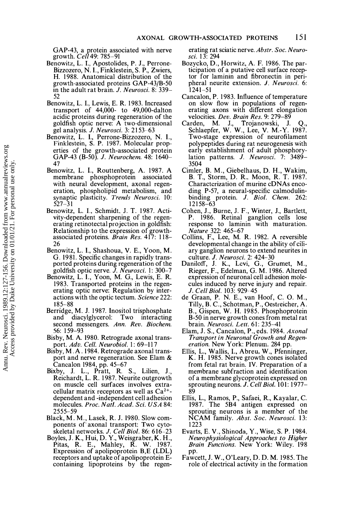GAP-43, a protein associated with nerve growth.  $Cell$  49: 785-91

- Benowitz, L. I., Apostolides, P. J., Perrone-Bizzozero, N. I., Finklestein, S. P., Zwiers, H. 1988. Anatomical distribution of the growth-associated proteins GAP-43/B-50 in the adult rat brain. J. Neurosci. 8: 339-52
- Benowitz, L. 1., Lewis, E. R. 1 983. Increased transport of 44,000- to 49,000-dalton acidic proteins during regeneration of the goldfish optic nerve: A two-dimensional gel analysis. J. Neurosci. 3: 2153-63
- Benowitz, L. I., Perrone-Bizzozero, N. I., Finklestein, S. P. 1987. Molecular properties of the growth-associated protein GAP-43 (B-50). J. Neurochem. 48: 1640-47
- Benowitz, L. 1., Routtenberg, A. 1987. A membrane phosphoprotein associated with neural development, axonal regeneration, phospholipid metabolism, and synaptic plasticity. Trends Neurosci. 10:  $527 - 31$
- Benowitz, L. I., Schmidt, J. T. 1987. Activity-dependent sharpening of the regenerating retinotectal projection in goldfish: Relationship to the expression of growthassociated proteins. Brain Res. 417: 118-26
- Benowitz, L. I., Shashoua, V. E., Yoon, M. G. 1981. Specific changes in rapidly transported proteins during regeneration of the goldfish optic nerve. J. Neurosci. I: 300-7
- Benowitz, L. I., Yoon, M. G., Lewis, E. R. 1983. Transported proteins in the regenerating optic nerve: Regulation by interactions with the optic tectum. Science 222: 185-88
- Berridge, M. J. 1987. Inositol trisphosphate and diacylglycerol: Two interacting second messengers. Ann. Rev. Biochem. 56: 159-93
- Bisby, M. A. 1980. Retrograde axonal transport. Adv. Cell. Neurobiol. 1: 69-117
- Bisby, M . A . 1 984. Retrograde axonal transport and nerve regeneration. See Elam & Cancalon 1984, pp. 45-67
- Bixby, J. L., Pratt, R. S., Lilien, J., Reichardt, L. R. 1 987. Neurite outgrowth on muscle cell surfaces involves extracellular matrix receptors as well as  $Ca^{2+}$ dependent and -independent cell adhesion molecules. Proc. Nat!. Acad. Sci. USA 84: 2555-59
- Black, M. M., Lasek, R. J. 1980. Slow components of' axonal transport: Two cytoskeletal networks. J. Cell Biol. 86: 616–23
- Boyles, J. K., Hui, D. Y., Weisgraber, K. H., Pitas, R. E., Mahley, R. W. 1987. Pitas, R. E., Mahley, R. W. Expression of apolipoprotein B,E (LDL) receptors and uptake of apolipoprotein Econtaining lipoproteins by the regen-

erating rat sciatic nerve. Abstr. Soc. Neurosci. 13: 294

- Bozycko, D., Horwitz, A. F. 1986. The participation of a putative cell surface receptor for laminin and fibronectin in peripheral neurite extension. J. Neurosci. 6:  $1241 - 51$
- Cancalon, P. 1983. Influence of temperature on slow flow in populations of regenerating axons with different elongation velocities. Dev. Brain Res. 9: 279-89
- Carden, M. J., Trojanowski, J. Q., Schlaepfer, W. W., Lee, V. M.-Y. 1987. Two-stage expression of neurofilament polypeptides during rat neurogenesis with early establishment of adult phosphorylation patterns. J. Neurosci. 7: 3489-3504
- Cimler, B. M., Giebelhaus, D. H., Wakim, B. T., Storm, D. R., Moon, R. T. 1987. Characterization of murine cDNAs encoding P-57, a neural-specific calmodulinbinding protein. J. Biol. Chem. 262: 12158-63
- Cohen, J., Burne, J. F., Winter, J., Bartlett, P. 1986. Retinal ganglion cells lose response to laminin with maturation. Nature 322: 465–67
- Collins, F., Lee, M. R. 1982. A reversible developmental change in the ability of ciliary ganglion neurons to extend neurites in culture. J. Neurosci. 2: 424-30
- Daniloff, J. K., Levi, G., Grumet, M., Rieger, F., Edelman, G. M. 1 986. Altered expression of neuronal cell adhesion molecules induced by nerve injury and repair. J. Cell Bioi. 103: 929-45
- de Graan, P. N. E., van Hoof, C. O. M., Tilly, B. C., Schotman, P., Oestreicher, A. B., Gispen, W. H. 1985. Phosphoprotein B-50 in nerve growth cones from metal rat brain. Neurosci. Lett. 61: 235-41
- Elam, 1. S., Cancalon, P., eds. 1984. Axonal Transport in Neuronal Growth and Regeneration. New York: Plenum. 284 pp.
- Ellis, L., Wallis, 1., Abreu, W., Pfenninger, K. H. 1 985. Nerve growth cones isolated from fetal rat brain. IV. Preparation of a membrane subfraction and identification of a membrane glycoprotein expressed on sprouting neurons. J. Cell Biol. 101: 1977-89
- Ellis, L., Ramos, P., Safaei, R., Kayalar, C. 1987. The 5B4 antigen expressed on sprouting neurons is a member of the NCAM family. Abst. Soc. Neurosci. 13: 1 223
- Evarts, E. V., Shinoda, Y., Wise, S. P. 1 984. Neurophysiological Approaches to Higher Brain Functions. New York: Wiley. 198 pp.
- Fawcett, 1. W., O'Leary, D. D. M. 1985. The role of electrical activity in the formation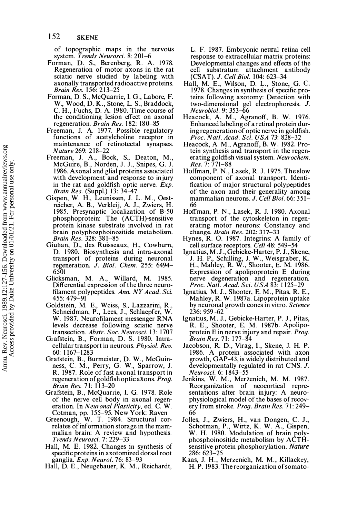of topographic maps in the nervous system. Trends Neurosci. 8: 201-6

- Forman, D. S., Berenberg, R. A. 1978. Regeneration of motor axons in the rat sciatic nerve studied by labeling with axonally transported radioactive proteins. Brain Res. 156: 213-25
- Forman, D. S., McQuarrie, I. G., Labore, F. W., Wood, D. K., Stone, L. S., Braddock, C. H., Fuchs, D. A. 1980. Time course of the conditioning lesion effect on axonal regeneration. Brain Res. 182: 180-85
- Freeman, J. A. 1977. Possible regulatory functions of acetylcholine receptor in maintenance of retinotectal synapses. Nature 269: 218-22
- Freeman, J. A., Bock, S., Deaton, M., McGuire, B., Norden, J. J., Snipes, G. J. 1 986. Axonal and glial proteins associated with development and response to injury in the rat and goldfish optic nerve.  $Exp$ . Brain Res. (Suppl.) 13: 34-47
- Gispen, W. H., Leunissen, J. L. M., Oestreicher, A. B., Verkleij, A. J., Zwiers, H. 1 985. Presynaptic localization of B-50 phosphoprotein: The (ACTH)-sensitive protein kinase substrate involved in rat brain polyphosphoinositide metabolism.<br>*Brain Res.* 328: 381–85
- Giulian, D., des Ruisseaux, H., Cow bum, D. 1980. Biosynthesis and intra-axonal transport of proteins during neuronal regeneration. *J. Biol. Chem.* 255: 6494– 6501
- Glicksman, M. A., Willard, M. 1985. Differential expression of the three neurofilament polypeptides. Ann. NY Acad. Sci. 455: 479-91
- Goldstein, M. E., Weiss, S., Lazzarini, R., Schneidman, P., Lees, J., Schlaepfer, W. W. 1987. Neurofilament messenger RNA levels decrease following sciatic nerve transection. Abstr. Soc. Neurosci. 13: 1707
- Grafstein, B., Forman, D. S. 1980. Intracellular transport in neurons. Physiol. Rev. 60: 1 167-1283
- Grafstein, B., Burmeister, D. W., McGuinness, C. M., Perry, G. W., Sparrow, J. R. 1987. Role of fast axonal transport in regeneration of goldfish optic axons. Prog. Brain Res. 71: 113-20
- Grafstein, B., McQuarrie, I. G. 1978. Role of the nerve cell body in axonal regeneration. In *Neuronal Plasticity*, ed. C. W.<br>Cotman, pp. 155–95. New York: Raven
- Greenough, W. T. 1984. Structural correlates of information storage in the mammalian brain: A review and hypothesis. Trends Neurosci. 7: 229-33
- Hall, M. E. 1982. Changes in synthesis of specific proteins in axotomized dorsal root ganglia. Exp. Neurol. 76: 83-93
- Hall, D. E., Neugebauer, K. M., Reichardt,

L. F. 1987. Embryonic neural retina cell response to extracellular matrix proteins: Developmental changes and effects of the cell substratum attachment antibody (CSAT). J. Cell Biol. 104: 623–34

- Hall, M. E., Wilson, D. L., Stone, G. C. 1 978. Changes in synthesis of specific proteins following axotomy: Detection with two-dimensional gel electrophoresis. J. Neurobiol. 9: 353-66
- Heacock, A. M., Agranoff, B. W. 1976. Enhanced labeling of a retinal protein during regeneration of optic nerve in goldfish. Proc. Nat!. Acad. Sci. USA 73: 828-32
- Heacock, A. M., Agranoff, B. W. 1982. Protein synthesis and transport in the regenerating goldfish visual system. Neurochem. Res. 7: 771-88
- Hoffman, P. N., Lasek, R. J. 1975. The slow component of axonal transport. Identification of major structural polypeptides of the axon and their generality among mammalian neurons. J. Cell Biol. 66: 351-66
- Hoffman, P. N., Lasek, R. J. 1980. Axonal transport of the cytoskeleton in regenerating motor neurons: Constancy and change. Brain Res. 202: 317-33
- Hynes, R. O. 1987. Integrins: A family of cell surface receptors. Cell 48: 549-54
- Ignatius, M. J., Gebicke-Harter, P. J., Skene, J. H. P., Schilling, J. W., Weisgraber, K. H., Mahley, R. W., Shooter, E. M. 1 986. Expression of apolipoprotein E during nerve degeneration and regeneration. Proc. Natl. Acad. Sci. USA 83: 1125-29
- Ignatius, M. J., Shooter, E. M., Pitas, R. E., Mahley, R. W. 1987a. Lipoprotein uptake by neuronal growth cones in vitro. Science 236: 959-62
- Ignatius, M. J., Gebicke-Harter, P. J., Pitas, R. E., Shooter, E. M. 1987b. Apolipoprotein E in nerve injury and repair. Prog. Brain Res. 71: 1 77-84
- Jacobson, R. D., Virag, I., Skene, J. H. P. 1986. A protein associated with axon growth, GAP-43, is widely distributed and developmentally regulated in rat CNS. J. Neurosci. 6: 1 843-55
- Jenkins, W. M., Merzenich, M. M. 1987. Reorganization of neocortical representations after brain injury: A neurophysiological model of the bases of recoyery from stroke. Prog. Brain Res. 71: 249- 66
- Jolles, J., Zwiers, H., van Dongen, C. J., Schotman, P., Wirtz, K. W. A., Gispen, W. H. 1 980. Modulation of brain polyphosphoinositide metabolism by ACTHsensitive protein phosphorylation. Nature 286: 623-25
- Kaas, J. H., Merzenich, M. M., Killackey, H. P. 1983. The reorganization of somato-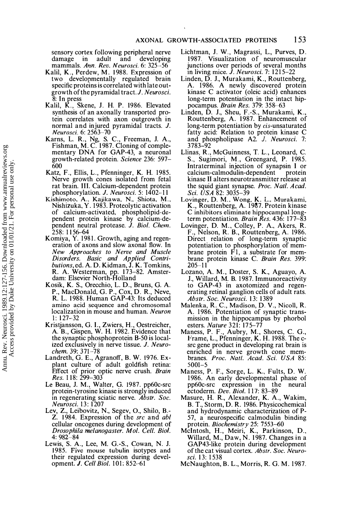sensory cortex following peripheral nerve<br>damage in adult and developing developing mammals. Ann. Rev. Neurosci. 6: 325-56

- Kalil, K., Perdew, M. 1988. Expression of two developmentally regulated brain specific proteins is correlated with late outgrowth of the pyramidal tract. 1. Neurosci.
- 8: In press Kalil, K., Skene, J. H. P. 1986. Elevated synthesis of an axonally transported protein correlates with axon outgrowth in normal and injured pyramidal tracts. J. Neurosci. 6: 2563-70
- Karns, L. R., Ng, S. C., Freeman, J. A., Fishman, M. C. 1987. Cloning of complementary DNA for GAP-43, a neuronal growth-related protein. Science 236: 597- 600
- Katz, F., Ellis, L., Pfenninger, K. H. 1985. Nerve growth cones isolated from fetal rat brain. III. Calcium-dependent protein
- phosphorylation. *J. Neurosci.* 5: 1402-11<br>Kishimoto, A., Kajikawa, N., Shiota, M.,<br>Nishizuka, Y. 1983. Proteolytic activation of calcium-activated, phospholipid-dependent protein kinase by calcium-dependent neutral protease. J. Biol. Chem. 258: 1 1 56-64
- Komiya, Y. 1981. Growth, aging and regeneration of axons and slow axonal flow. In New Approaches to Nerve and Muscle Disorders. Basic and Applied Contri-<br>butions, ed. A. D. Kidman, J. K. Tomkins,<br>R. A. Westerman, pp. 173–82. Amsterdam: Elsevier North-Holland
- Kosik, K. S., Orecchio, L. D., Bruns, G. A. P., MacDonald, G. P., Cox, D. R., Neve, R. L. 1 988. Human GAP-43: Its deduced amino acid sequence and chromosomal localization in mouse and human. Neuron I: 1 27-32
- Kristjansson, G. I., Zwiers, H., Oestreicher, A. B., Gispen, W. H. 1982. Evidence that the synaptic phosphoprotein 8-50 is localized exclusively in nerve tissue. J. Neurochern. 39: 371-78
- Landreth, G. E., Agranoff, B. W. 1976. Explant culture of adult goldfish retina: Effect of prior optic nerve crush. Brain Res. 118: 299-303
- Le Beau, J. M., Walter, G. 1987. pp60c-src protein-tyrosine kinase is strongly induced in regenerating sciatic nerve. Abstr. Soc. Neurosci. 13: 1 207
- Lev, Z., Leibovitz, N., Segev, 0., Shilo, B. Z. 1984. Expression of the src and abl cellular oncogenes during development of Drosophila melanogaster. Mol. Cell. BioI. 4: 982-84
- Lewis, S. A., Lee, M. G.-S., Cowan, N. J. 1985. Five mouse tubulin isotypes and their regulated expression during development. J. Cell Biol. 101: 852-61
- Lichtman, J. W., Magrassi, L., Purves, D. 1987. Visualization of neuromuscular junctions over periods of several months<br>in living mice. J. Neurosci. 7: 1215–22
- Linden, D. J., Murakami, K., Routtenberg, A. 1 986. A newly discovered protein kinase C activator (oleic acid) enhances long-term potentiation in the intact hippocampus. Brain Res. 379: 358--63
- Linden, D. J., Sheu, F.-S., Murakami, K., Routtenberg, A. 1987. Enhancement of long-term potentiation by *cis*-unsaturated fatty acid: Relation to protein kinase C and phospholipase A2. J. Neurosci. 7: 3783-92
- Llinas, R., McGuinness, T. L., Leonard, C. S., Sugimori, M., Greengard, P. 1985. Intraterminal injection of synapsin I or calcium-calmodulin-dependent protein kinase II alters neurotransmitter release at the squid giant synapse. Proc. Natl. Acad.
- Sci. USA 82: 3035-39 Lovinger, D. M., Wong. K. L.. Murakami. K., Routtenberg, A. 1987. Protein kinase C inhibitors eliminate hippocampal longterm potentiation. Brain Res. 436: 177-83
- Lovinger, D. M., Colley, P. A., Akers, R. F., Nelson, R. 8., Routtenberg, A. 1986. Direct relation of long-term synaptic potentiation to phosphorylation of membrane protein Fl, a substrate for membrane protein kinase C. Brain Res. 399:  $205 - 11$
- Lozano, A. M., Doster, S. K., Aguayo, A. J., Willard, M. B. 1 987. Immunoreactivity to GAP-43 in axotomized and regenerating retinal ganglion cells of adult rats. Abstr. Soc. Neurosci. 13: 1389
- Malenka, R. C., Madison, D. V., Nicoll, R. A. 1986. Potentiation of synaptic transmission in the hippocampus by phorbol esters. Nature 321: 175-77
- Maness, P. F., Aubry, M., Shores, C. G., Frame, L., Pfenninger, K. H. 1988. The csrc gene product in developing rat brain is enriched in nerve growth cone membranes. Proc. Natl. Acad. Sci. USA 85: 5001-5
- Maness, P. F., Sorge, L. K., Fults, D. W. 1 986. An early developmental phase of pp60c-src expression in the neural ectoderm. Dev. Biol. 117: 83-89
- Masure, H. R., Alexander, K. A., Wakim, B. T., Storm, D. R. 1986. Physicochemical and hydrodynamic characterization of P-57, a neurospecific calmodulin binding protein. Biochemistry 25: 7553-60
- McIntosh, H., Meiri, K., Parkinson, D., Willard, M., Daw, N. 1 987. Changes in a GAP43-like protein during development of the cat visual cortex. Abstr. Soc. Neurosci. 13: 1538
- McNaughton, B. L., Morris, R. G. M. 1987.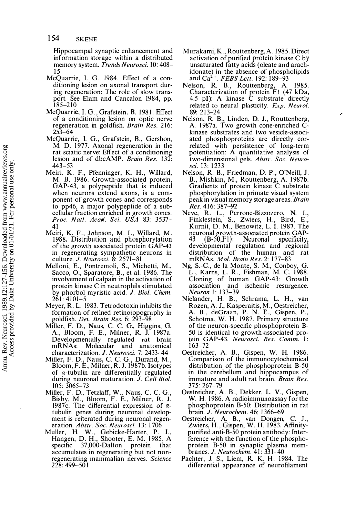Hippocampal synaptic enhancement and information storage within a distributed memory system. Trends Neurosci. 10: 408– 15

- McQuarrie, I. G. 1984. Effect of a conditioning lesion on axonal transport during regeneration: The role of slow trans-port. See Elam and Cancalon 1984, pp. 1 85-210
- McQuarrie, I. G., Grafstein, 8. 1 981. Effect of a conditioning lesion on optic nerve regeneration in goldfish. Brain Res. 216: 253-64
- McQuarrie, I. G., Grafstein, 8., Gershon, M. D. 1977. Axonal regeneration in the rat sciatic nerve: Effect of a conditioning lesion and of dbcAMP. Brain Res. 132: 443-53
- Meiri, K. F., Pfenninger, K. H., Willard, M. B. 1986. Growth-associated protein, GAP-43, a polypeptide that is induced when neurons extend axons, is a component of growth cones and corresponds to pp46, a major polypeptide of a subcellular fraction enriched in growth cones. Proc. Natl. Acad. Sci. USA 83: 3537-41
- Meiri, K. F., Johnson, M. I., Willard, M. 1 988. Distribution and phosphorylation of the growth associated protein GAP-43 in regenerating sympathetic neurons in culture. J. Neurosci. 8: 2571-81
- Melloni, E., Pontremoli, S., Michetti, M., Sacco, O., Sparatore, B., et al. 1986. The involvement of calpain in the activation of protein kinase C in neutrophils stimulated by phorbol myristic acid. J. Biol. Chem. 261: 4101-5
- Meyer, R. L. 1983. Tetrodotoxin inhibits the formation of refined retinotopography in goldfish. Dev. Brain Res. 6: 293-98
- Miller, F. D., Naus, C. C. G., Higgins, G. A., Bloom, F. E., Milner, R. J. 1987a. Developmentally regulated rat brain mRNAs: Molecular and anatomical characterization. J. Neurosci. 7: 2433-44
- Miller, F. D., Naus, C. C. G., Durand, M., Bloom, F. E., Milner, R. J. 1 987b. Isotypes of a-tubulin are differentially regulated during neuronal maturation. J. Cell Biol. 105: 3065-73
- Miller, F. D., Tetzlaff, W., Naus, C. C. G., Bisby, M., Bloom, F. E., Milner, R. J.<br>1987c. The differential expression of  $\alpha$ tubulin genes during neuronal development is reiterated during neuronal regeneration. Abstr. Soc. Neurosci. 13: 1706
- Muller, H. W., Gebicke-Harter, P. J., Hangen, D. H., Shooter, E. M. 1 985. A specific 37,000-Dalton protein that accumulates in regenerating but not nonregenerating mammalian nerves. Science 228: 499-501
- Murakami, K., Routtenberg, A. 1 985. Direct activation of purified protein kinase C by unsaturated fatty acids (oleate and arachidonate) in the absence of phospholipids and  $Ca<sup>2+</sup>$ . *FEBS Lett*. 192: 189–93
- Nelson, R. B., Routtenberg, A. 1985. Characterization of protein FI (47 kDa, 4.5 pI): A kinase C substrate directly related to neural plasticity. Exp. Neurol. 89: 2 1 3-24
- Nelson, R. B., Linden, D. J., Routtenberg, A. 1 987a. Two growth cone-enriched Ckinase substrates and two vesicle-associated phosphoproteins are directly correlated with persistence of long-term potentiation:  $\Lambda$  quantitative analysis of two-dimensional gels. Abstr. Soc. Neurosci. 13: 1233
- Nelson, R. 8., Friedman, D. P., O'Neill, J. B., Mishkin, M., Routtenberg, A. 1 987b. Gradients of protein kinase C substrate phosphorylation in primate visual system peak in visual memory storage areas. Brain Res. 416: 387-92
- Neve, R. L., Perrone-Bizzozero, N. 1., Finklestein, S., Zwiers, H., Bird, E., Kurnit, D. M., Benowitz, L. 1. 1987. The neuronal growth-associated protein GAP-43 (B-50,Fl): Neuronal specificity, developmental regulation and regional distribution of the human and rat mRNAs. Mol. Brain Res. 2: 177-83
- Ng, S.-c., de la Monte, S. M., Conboy, G. L., Karns, L. R., Fishman, M. C. 1 988. Cloning of human GAP-43: Growth association and ischemic resurgence. Neuron 1: 133-39
- Nie1ander, H. B., Schrama, L. H., van Rozen, A. J., Kasperaitis, M., Oestreicher, A. B., deGraan, P. N. E., Gispen, P., Schotma, W. H. 1987. Primary structure of the neuron-specific phosphoprotein B-50 is identical to growth-associated protein GAP-43. Neurosci. Res. Comm. 1:  $163 - 72$
- Oestreicher, A. B., Gispen, W. H. 1986. Comparison of the immunocytochemical distribution of the phosphoprotein B-50 in the cerebellum and hippocampus of immature and adult rat brain. Brain Res. 375: 267-79
- Oestreicher, A. B., Dekker, L. Y., Gispen, W. H. 1986. A radioimmunoassay for the phosphoprotein B-50: Distribution in rat brain. J. Neurochern. 46: 1 366-69
- Oestreicher, A. B., van Dongen, C. J., Zwiers, H., Gispen, W. H. 1983. Affinitypurified anti-B-50 protein antibody: Interference with the function of the phosphoprotein B-50 in synaptic plasma mem-
- branes. *J. Neurochem.* 41: 331-40<br>Pachter, J. S., Liem, R. K. H. 1984. The differential appearance of neurofilament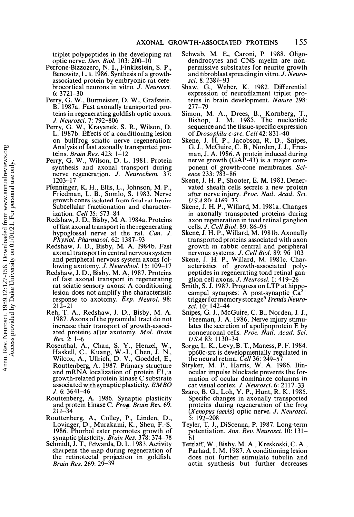triplet polypeptides in the developing rat optic nerve. Dev. Biol. 103: 200-10

- Perrone-Bizzozero, N. I., Finklestein, S. P., Benowitz, L. I. 1986. Synthesis of a growthassociated protein by embryonic rat cerebrocortical neurons in vitro. J. Neurosci. 6: 3721-30
- Perry, G. W., Burmeister, D. W., Grafstein, B. 1987a. Fast axonally transported proteins in regenerating goldfish optic axons.
- J. Neurosci. 7: 792-806 Perry, G. W., Krayanek, S. R., Wilson, D. L. 1987b. Effects of a conditioning lesion on bullfrog sciatic nerve regeneration: Analysis of fast axonally transported proteins. Brain Res. 423: 1-12
- Perry, G. W., Wilson, D. L. 1981. Protein synthesis and axonal transport during nerve regeneration. J. Neurochem. 37: 1203-1 7
- Pfenninger, K. H., Ellis, L., Johnson, M. P., Friedman, L. B., Somlo, S. 1983. Nerve growth cones isolated from fetal rat brain: Subcellular fractionation and characterization. Cell 35: 573-84
- Redshaw, J. D., Bisby, M. A. 1 984a. Proteins offast axonal transport in the regenerating hypoglossal nerve at the rat. Can.  $\tilde{J}$ . Physiol. Pharmacol. 62: 1387-93
- Redshaw, J. D., Bisby, M. A. 1984b. Fast axonal transport in central nervous system and peripheral nervous system axons following axotomy. J. Neurobiol. 15: 109-17
- Redshaw, J. D., Bisby, M. A. 1987. Proteins of fast axonal transport in regenerating rat sciatic sensory axons: A conditioning lesion does not amplify the characteristic response to axotomy. *Exp. Neurol.* 98:<br>212–21
- Reh, T. A., Redshaw, J. D., Bisby, M. A. 1 987. Axons of the pyramidal tract do not increase their transport of growth-associated proteins after axotomy. Mol. Brain Res. 2: 1-6
- Rosenthal, A., Chan, S. Y., Henzel, W., Haskell, c., Kuang, W.-J., Chen, J. N., Wilcox, A., Ullrich, D. V., Goeddel, E., Routtenberg, A. 1987. Primary structure and mRNA localization of protein FI, a growth-related protein kinase C substrate associated with synaptic plasticity. **EMBO** J. 6: 3641-46
- Routtenberg, A. 1986. Synaptic plasticity and protein kinase C. Prog. Brain Res. 69:  $211 - 34$
- Routtenberg, A., Colley, P., Linden, D., Lovinger, D., Murakami, K., Sheu, F.-S. 1986. Phorbol ester promotes growth of synaptic plasticity. Brain Res. 378: 374-78
- Schmidt, J. T., Edwards, D. L. 1983. Activity sharpens the map during regeneration of the retinotectal projection in goldfish. Brain Res. 269: 29-39
- Schwab, M. E., Caroni, P. 1 988. Oligo-dendrocytes and CNS myelin are nonpermissive substrates for neurite growth and fibroblast spreading in vitro. J. Neurosci. 8: 238 1-93
- Shaw, G., Weber, K. 1982. Differential expression of neurofilament triplet proteins in brain development. Nature 298: 277-79
- Simon, M. A., Drees, B., Kornberg, T., Bishop, J. M. 1985. The nucleotide sequence and the tissue-specific expression of Drosophila c-src. Cell 42: 831-40
- Skene, J. H. P., Jacobson, R. D., Snipes, G. J., McGuire, C. B., Norden, J. J., Freeman, J. A. 1986. A protein induced during nerve growth (GAP-43) is a major component of growth-cone membranes. Science 233: 783-86
- Skene, J. H. P., Shooter, E. M. 1983. Denervated sheath cells secrete a new protein after nerve injury. Proc. Natl. Acad. Sci.  $USA$  80: 4169-73
- Skene, J. H. P., Willard, M. 198 1a. Changes in axonally transported proteins during axon regeneration in toad retinal ganglion cells. J. Cell Biol. 89: 86-95
- Skene, J. H. P., Willard, M. 198 1b. Axonally transported proteins associated with axon growth in rabbit central and peripheral nervous systems. J. Cell Biol. 89: 96-103
- Skene, J. H. P., Willard, M. 1981c. Char-<br>acteristics of growth-associated polypeptides in regenerating toad retinal ganglion cell axons. J. Neurosci. I: 419-26
- Smith, S. J. 1987. Progress on LTP at hippocampal synapses: A post-synaptic  $\tilde{C}a^{2}$ <sup>1</sup> trigger for memory storage? Trends Neurosci. 10: 1 42-44
- Snipes, G. J., McGuire, C. B., Norden, J. J., Freeman, J. A. 1986. Nerve injury stimulates the secretion of apolipoprotein E by nonneuronal cells. Proc. Natl. Acad. Sci. USA 83: 1130-34
- Sorge, L. K., Levy, B. T., Maness, P. F. 1 984. pp60c-src is developmentally regulated in the neural retina. Cell 36: 249-57
- Stryker, M. P., Harris, W. A. 1986. Binocular impulse blockade prevents the formation of ocular dominance columns in
- cat visual cortex. J. Neurosci. 6: 2117-33 Szaro, B. G., Loh, Y. P., Hunt, R. K. 1 985. Specific changes in axonally transported proteins during regeneration of the frog (Xenopus laevis) optic nerve. J. Neurosci. 5: 1 92-208
- Teyler, T. J., DiScenna, P. 1987. Long-term potentiation. Ann. Rev. Neurosci. 10: 131-61
- Tetzlaff, W., Bisby, M. A., Kreskoski, C. A., Parhad, I. M. 1987. A conditioning lesion does not further stimulate tubulin and actin synthesis but further decreases